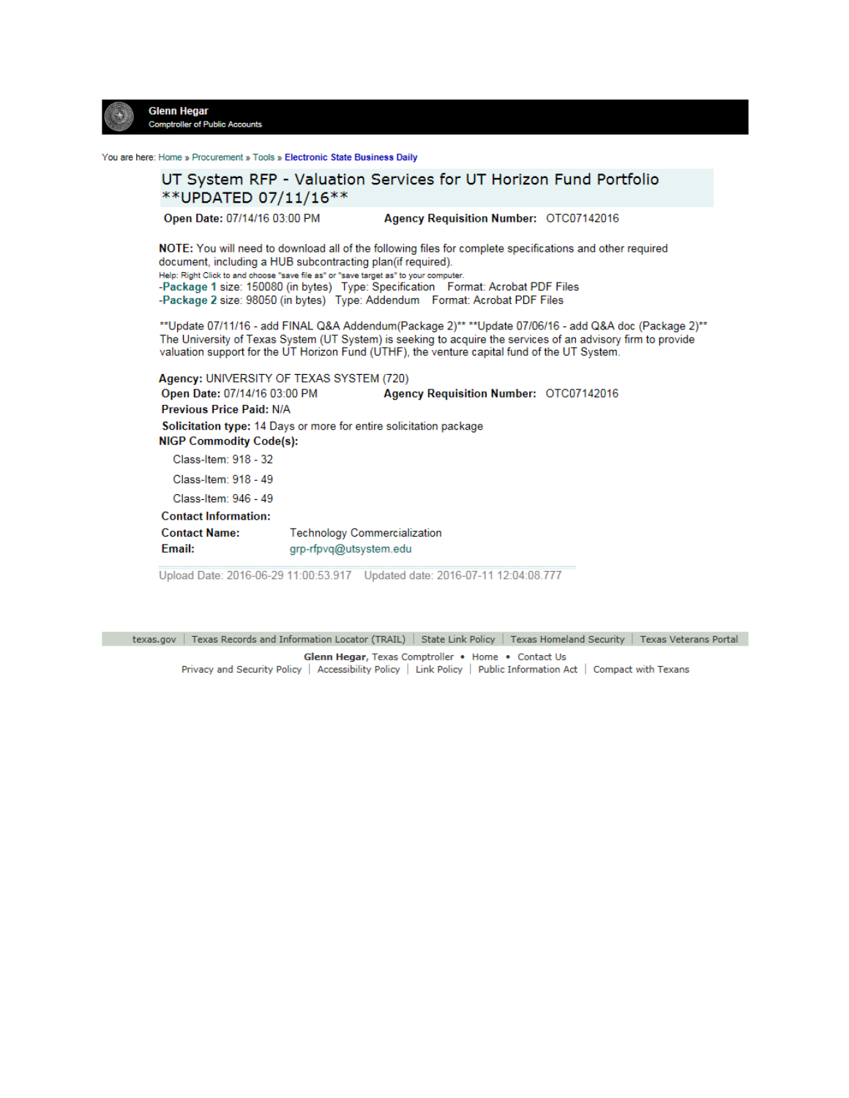

You are here: Home » Procurement » Tools » Electronic State Business Daily



Upload Date: 2016-06-29 11:00:53.917 Updated date: 2016-07-11 12:04:08.777

texas.gov | Texas Records and Information Locator (TRAIL) | State Link Policy | Texas Homeland Security | Texas Veterans Portal Glenn Hegar, Texas Comptroller . Home . Contact Us Privacy and Security Policy | Accessibility Policy | Link Policy | Public Information Act | Compact with Texans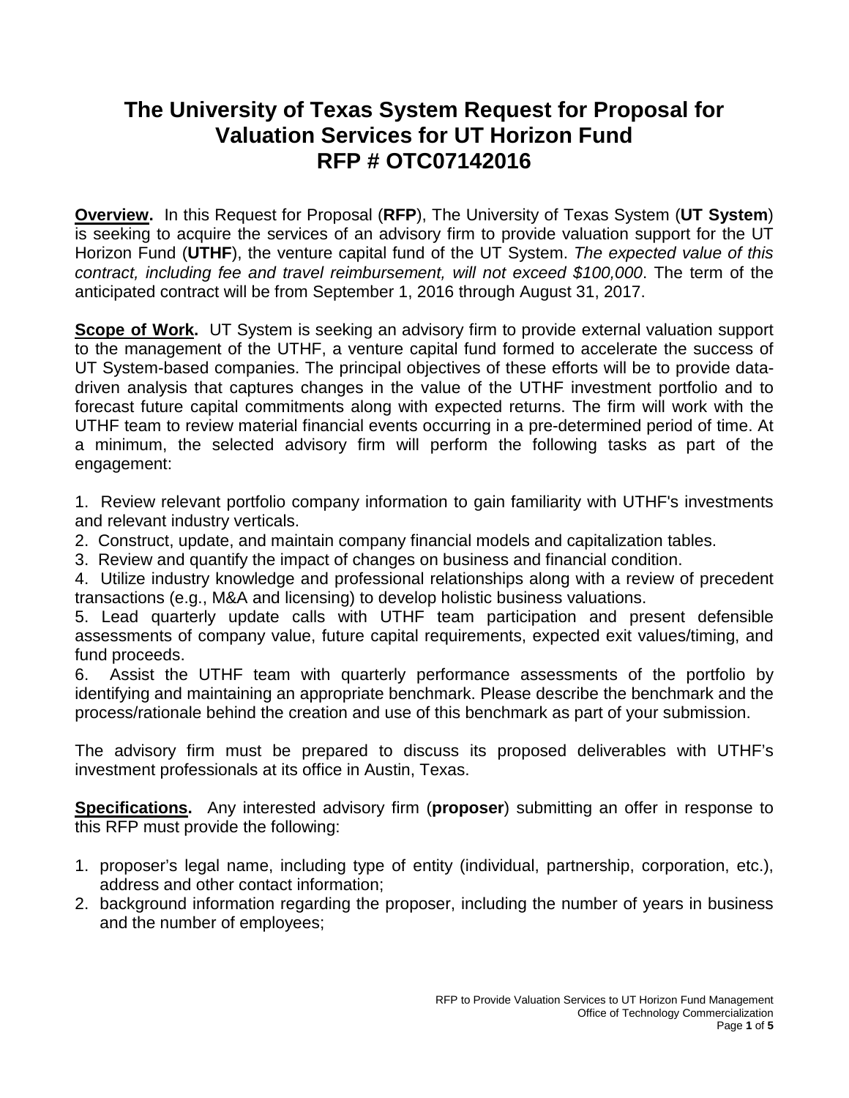# **The University of Texas System Request for Proposal for Valuation Services for UT Horizon Fund RFP # OTC07142016**

**Overview.** In this Request for Proposal (**RFP**), The University of Texas System (**UT System**) is seeking to acquire the services of an advisory firm to provide valuation support for the UT Horizon Fund (**UTHF**), the venture capital fund of the UT System. *The expected value of this contract, including fee and travel reimbursement, will not exceed \$100,000*. The term of the anticipated contract will be from September 1, 2016 through August 31, 2017.

**Scope of Work.** UT System is seeking an advisory firm to provide external valuation support to the management of the UTHF, a venture capital fund formed to accelerate the success of UT System-based companies. The principal objectives of these efforts will be to provide datadriven analysis that captures changes in the value of the UTHF investment portfolio and to forecast future capital commitments along with expected returns. The firm will work with the UTHF team to review material financial events occurring in a pre-determined period of time. At a minimum, the selected advisory firm will perform the following tasks as part of the engagement:

1. Review relevant portfolio company information to gain familiarity with UTHF's investments and relevant industry verticals.

- 2. Construct, update, and maintain company financial models and capitalization tables.
- 3. Review and quantify the impact of changes on business and financial condition.

4. Utilize industry knowledge and professional relationships along with a review of precedent transactions (e.g., M&A and licensing) to develop holistic business valuations.

5. Lead quarterly update calls with UTHF team participation and present defensible assessments of company value, future capital requirements, expected exit values/timing, and fund proceeds.

6. Assist the UTHF team with quarterly performance assessments of the portfolio by identifying and maintaining an appropriate benchmark. Please describe the benchmark and the process/rationale behind the creation and use of this benchmark as part of your submission.

The advisory firm must be prepared to discuss its proposed deliverables with UTHF's investment professionals at its office in Austin, Texas.

**Specifications.** Any interested advisory firm (**proposer**) submitting an offer in response to this RFP must provide the following:

- 1. proposer's legal name, including type of entity (individual, partnership, corporation, etc.), address and other contact information;
- 2. background information regarding the proposer, including the number of years in business and the number of employees;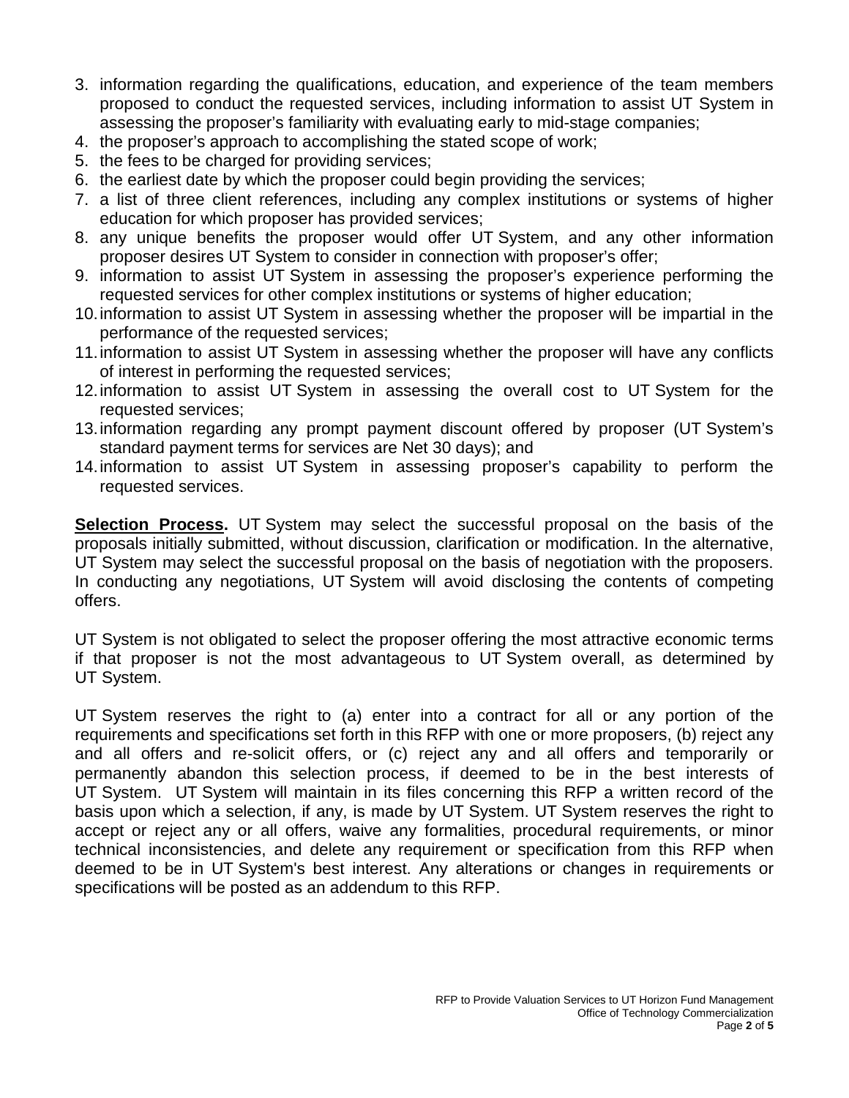- 3. information regarding the qualifications, education, and experience of the team members proposed to conduct the requested services, including information to assist UT System in assessing the proposer's familiarity with evaluating early to mid-stage companies;
- 4. the proposer's approach to accomplishing the stated scope of work;
- 5. the fees to be charged for providing services;
- 6. the earliest date by which the proposer could begin providing the services;
- 7. a list of three client references, including any complex institutions or systems of higher education for which proposer has provided services;
- 8. any unique benefits the proposer would offer UT System, and any other information proposer desires UT System to consider in connection with proposer's offer;
- 9. information to assist UT System in assessing the proposer's experience performing the requested services for other complex institutions or systems of higher education;
- 10.information to assist UT System in assessing whether the proposer will be impartial in the performance of the requested services;
- 11.information to assist UT System in assessing whether the proposer will have any conflicts of interest in performing the requested services;
- 12.information to assist UT System in assessing the overall cost to UT System for the requested services;
- 13.information regarding any prompt payment discount offered by proposer (UT System's standard payment terms for services are Net 30 days); and
- 14.information to assist UT System in assessing proposer's capability to perform the requested services.

**Selection Process.** UT System may select the successful proposal on the basis of the proposals initially submitted, without discussion, clarification or modification. In the alternative, UT System may select the successful proposal on the basis of negotiation with the proposers. In conducting any negotiations, UT System will avoid disclosing the contents of competing offers.

UT System is not obligated to select the proposer offering the most attractive economic terms if that proposer is not the most advantageous to UT System overall, as determined by UT System.

UT System reserves the right to (a) enter into a contract for all or any portion of the requirements and specifications set forth in this RFP with one or more proposers, (b) reject any and all offers and re-solicit offers, or (c) reject any and all offers and temporarily or permanently abandon this selection process, if deemed to be in the best interests of UT System. UT System will maintain in its files concerning this RFP a written record of the basis upon which a selection, if any, is made by UT System. UT System reserves the right to accept or reject any or all offers, waive any formalities, procedural requirements, or minor technical inconsistencies, and delete any requirement or specification from this RFP when deemed to be in UT System's best interest. Any alterations or changes in requirements or specifications will be posted as an addendum to this RFP.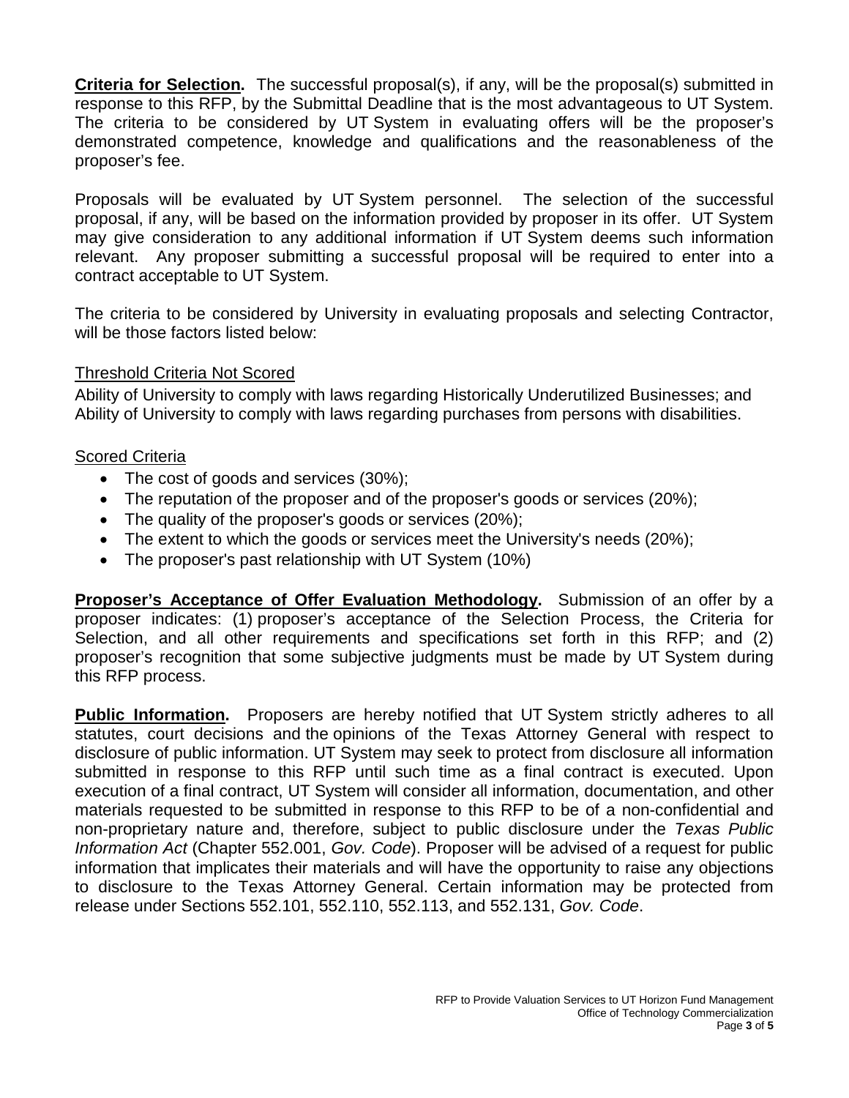**Criteria for Selection.** The successful proposal(s), if any, will be the proposal(s) submitted in response to this RFP, by the Submittal Deadline that is the most advantageous to UT System. The criteria to be considered by UT System in evaluating offers will be the proposer's demonstrated competence, knowledge and qualifications and the reasonableness of the proposer's fee.

Proposals will be evaluated by UT System personnel. The selection of the successful proposal, if any, will be based on the information provided by proposer in its offer. UT System may give consideration to any additional information if UT System deems such information relevant. Any proposer submitting a successful proposal will be required to enter into a contract acceptable to UT System.

The criteria to be considered by University in evaluating proposals and selecting Contractor, will be those factors listed below:

### Threshold Criteria Not Scored

Ability of University to comply with laws regarding Historically Underutilized Businesses; and Ability of University to comply with laws regarding purchases from persons with disabilities.

## Scored Criteria

- The cost of goods and services (30%);
- The reputation of the proposer and of the proposer's goods or services (20%);
- The quality of the proposer's goods or services (20%);
- The extent to which the goods or services meet the University's needs (20%);
- The proposer's past relationship with UT System (10%)

**Proposer's Acceptance of Offer Evaluation Methodology.** Submission of an offer by a proposer indicates: (1) proposer's acceptance of the Selection Process, the Criteria for Selection, and all other requirements and specifications set forth in this RFP; and (2) proposer's recognition that some subjective judgments must be made by UT System during this RFP process.

**Public Information.** Proposers are hereby notified that UT System strictly adheres to all statutes, court decisions and the opinions of the Texas Attorney General with respect to disclosure of public information. UT System may seek to protect from disclosure all information submitted in response to this RFP until such time as a final contract is executed. Upon execution of a final contract, UT System will consider all information, documentation, and other materials requested to be submitted in response to this RFP to be of a non-confidential and non-proprietary nature and, therefore, subject to public disclosure under the *Texas Public Information Act* (Chapter 552.001, *Gov. Code*). Proposer will be advised of a request for public information that implicates their materials and will have the opportunity to raise any objections to disclosure to the Texas Attorney General. Certain information may be protected from release under Sections 552.101, 552.110, 552.113, and 552.131, *Gov. Code*.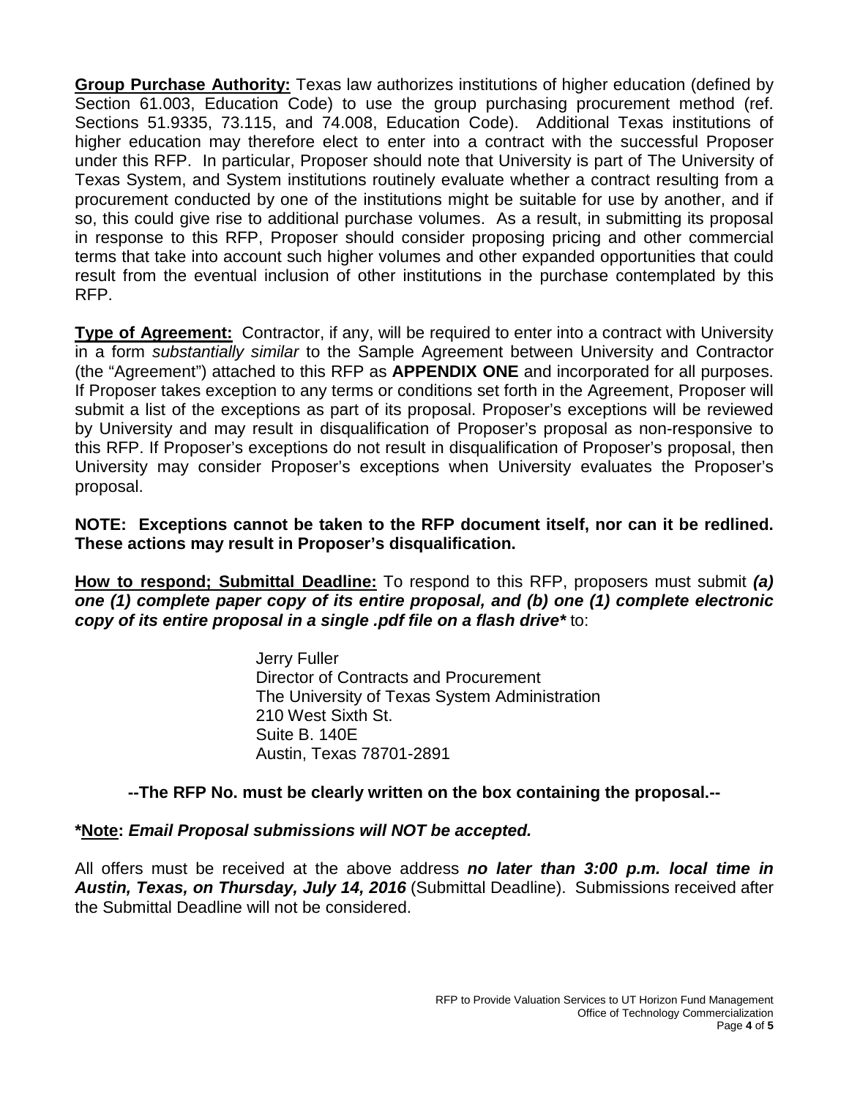**Group Purchase Authority:** Texas law authorizes institutions of higher education (defined by Section 61.003, Education Code) to use the group purchasing procurement method (ref. Sections 51.9335, 73.115, and 74.008, Education Code). Additional Texas institutions of higher education may therefore elect to enter into a contract with the successful Proposer under this RFP. In particular, Proposer should note that University is part of The University of Texas System, and System institutions routinely evaluate whether a contract resulting from a procurement conducted by one of the institutions might be suitable for use by another, and if so, this could give rise to additional purchase volumes. As a result, in submitting its proposal in response to this RFP, Proposer should consider proposing pricing and other commercial terms that take into account such higher volumes and other expanded opportunities that could result from the eventual inclusion of other institutions in the purchase contemplated by this RFP.

**Type of Agreement:** Contractor, if any, will be required to enter into a contract with University in a form *substantially similar* to the Sample Agreement between University and Contractor (the "Agreement") attached to this RFP as **APPENDIX ONE** and incorporated for all purposes. If Proposer takes exception to any terms or conditions set forth in the Agreement, Proposer will submit a list of the exceptions as part of its proposal. Proposer's exceptions will be reviewed by University and may result in disqualification of Proposer's proposal as non-responsive to this RFP. If Proposer's exceptions do not result in disqualification of Proposer's proposal, then University may consider Proposer's exceptions when University evaluates the Proposer's proposal.

**NOTE: Exceptions cannot be taken to the RFP document itself, nor can it be redlined. These actions may result in Proposer's disqualification.**

**How to respond; Submittal Deadline:** To respond to this RFP, proposers must submit *(a) one (1) complete paper copy of its entire proposal, and (b) one (1) complete electronic copy of its entire proposal in a single .pdf file on a flash drive\** to:

> Jerry Fuller Director of Contracts and Procurement The University of Texas System Administration 210 West Sixth St. Suite B. 140E Austin, Texas 78701-2891

## **--The RFP No. must be clearly written on the box containing the proposal.--**

## **\*Note:** *Email Proposal submissions will NOT be accepted.*

All offers must be received at the above address *no later than 3:00 p.m. local time in Austin, Texas, on Thursday, July 14, 2016* (Submittal Deadline). Submissions received after the Submittal Deadline will not be considered.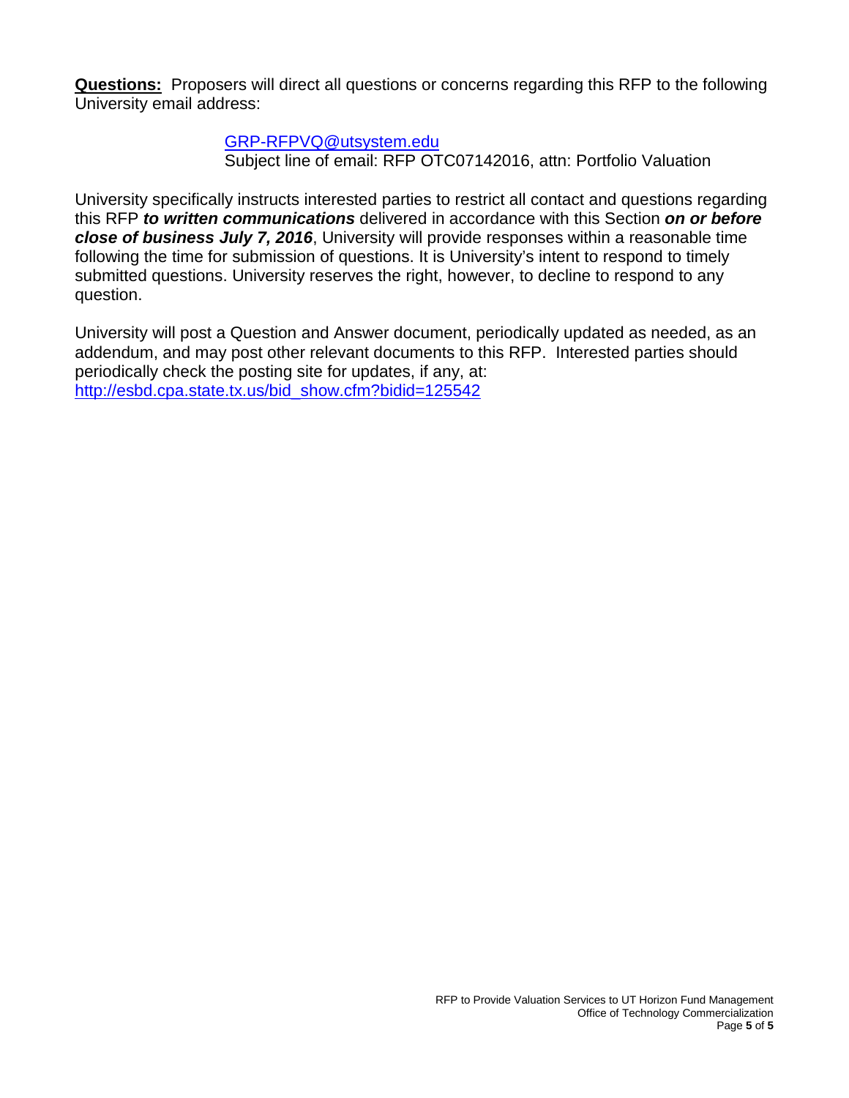**Questions:** Proposers will direct all questions or concerns regarding this RFP to the following University email address:

[GRP-RFPVQ@utsystem.edu](mailto:GRP-RFPVQ@utsystem.edu)

Subject line of email: RFP OTC07142016, attn: Portfolio Valuation

University specifically instructs interested parties to restrict all contact and questions regarding this RFP *to written communications* delivered in accordance with this Section *on or before close of business July 7, 2016*, University will provide responses within a reasonable time following the time for submission of questions. It is University's intent to respond to timely submitted questions. University reserves the right, however, to decline to respond to any question.

University will post a Question and Answer document, periodically updated as needed, as an addendum, and may post other relevant documents to this RFP. Interested parties should periodically check the posting site for updates, if any, at: [http://esbd.cpa.state.tx.us/bid\\_show.cfm?bidid=125542](http://esbd.cpa.state.tx.us/bid_show.cfm?bidid=125542)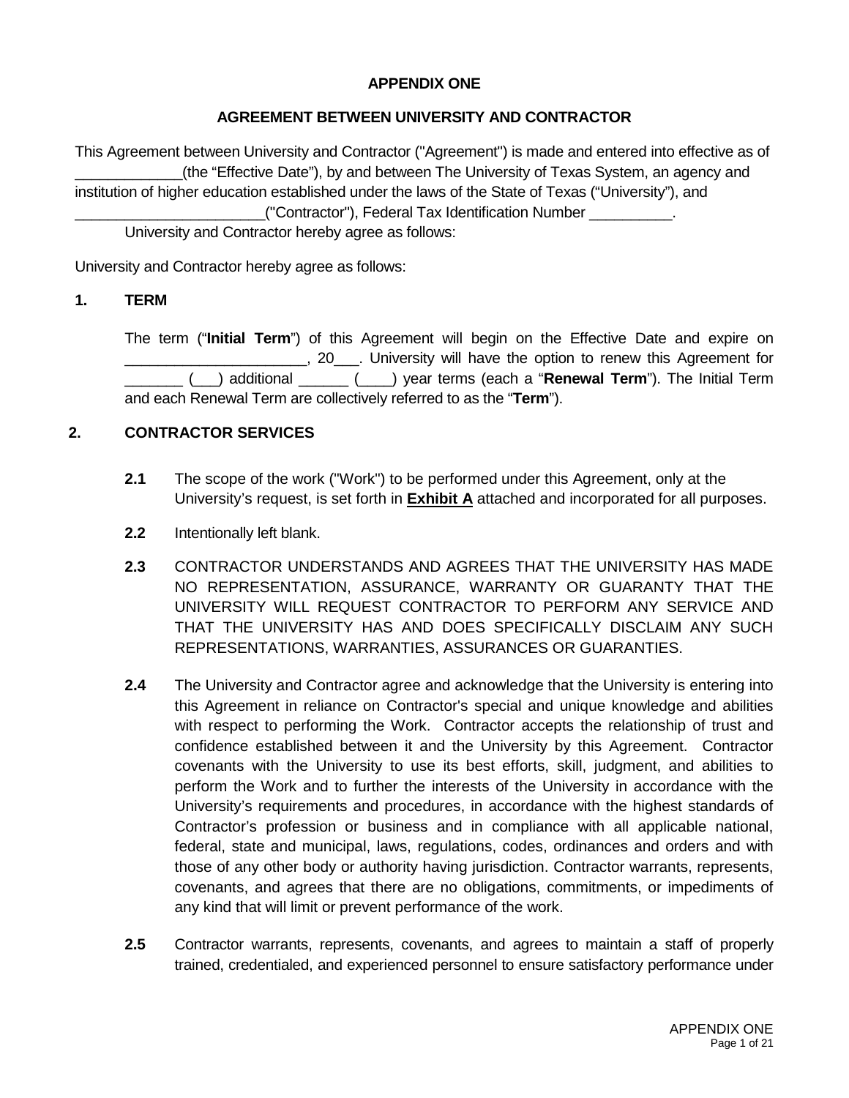### **APPENDIX ONE**

### **AGREEMENT BETWEEN UNIVERSITY AND CONTRACTOR**

This Agreement between University and Contractor ("Agreement") is made and entered into effective as of \_\_\_\_\_\_\_\_\_\_\_\_\_(the "Effective Date"), by and between The University of Texas System, an agency and institution of higher education established under the laws of the State of Texas ("University"), and \_\_\_\_\_\_\_\_\_\_\_\_\_\_\_\_\_\_\_\_\_\_\_("Contractor"), Federal Tax Identification Number \_\_\_\_\_\_\_\_\_\_. University and Contractor hereby agree as follows:

University and Contractor hereby agree as follows:

### **1. TERM**

The term ("**Initial Term**") of this Agreement will begin on the Effective Date and expire on  $\Box$ , 20  $\Box$ . University will have the option to renew this Agreement for \_\_\_\_\_\_\_ (\_\_\_) additional \_\_\_\_\_\_ (\_\_\_\_) year terms (each a "**Renewal Term**"). The Initial Term and each Renewal Term are collectively referred to as the "**Term**").

### **2. CONTRACTOR SERVICES**

- **2.1** The scope of the work ("Work") to be performed under this Agreement, only at the University's request, is set forth in **Exhibit A** attached and incorporated for all purposes.
- **2.2** Intentionally left blank.
- **2.3** CONTRACTOR UNDERSTANDS AND AGREES THAT THE UNIVERSITY HAS MADE NO REPRESENTATION, ASSURANCE, WARRANTY OR GUARANTY THAT THE UNIVERSITY WILL REQUEST CONTRACTOR TO PERFORM ANY SERVICE AND THAT THE UNIVERSITY HAS AND DOES SPECIFICALLY DISCLAIM ANY SUCH REPRESENTATIONS, WARRANTIES, ASSURANCES OR GUARANTIES.
- **2.4** The University and Contractor agree and acknowledge that the University is entering into this Agreement in reliance on Contractor's special and unique knowledge and abilities with respect to performing the Work. Contractor accepts the relationship of trust and confidence established between it and the University by this Agreement. Contractor covenants with the University to use its best efforts, skill, judgment, and abilities to perform the Work and to further the interests of the University in accordance with the University's requirements and procedures, in accordance with the highest standards of Contractor's profession or business and in compliance with all applicable national, federal, state and municipal, laws, regulations, codes, ordinances and orders and with those of any other body or authority having jurisdiction. Contractor warrants, represents, covenants, and agrees that there are no obligations, commitments, or impediments of any kind that will limit or prevent performance of the work.
- **2.5** Contractor warrants, represents, covenants, and agrees to maintain a staff of properly trained, credentialed, and experienced personnel to ensure satisfactory performance under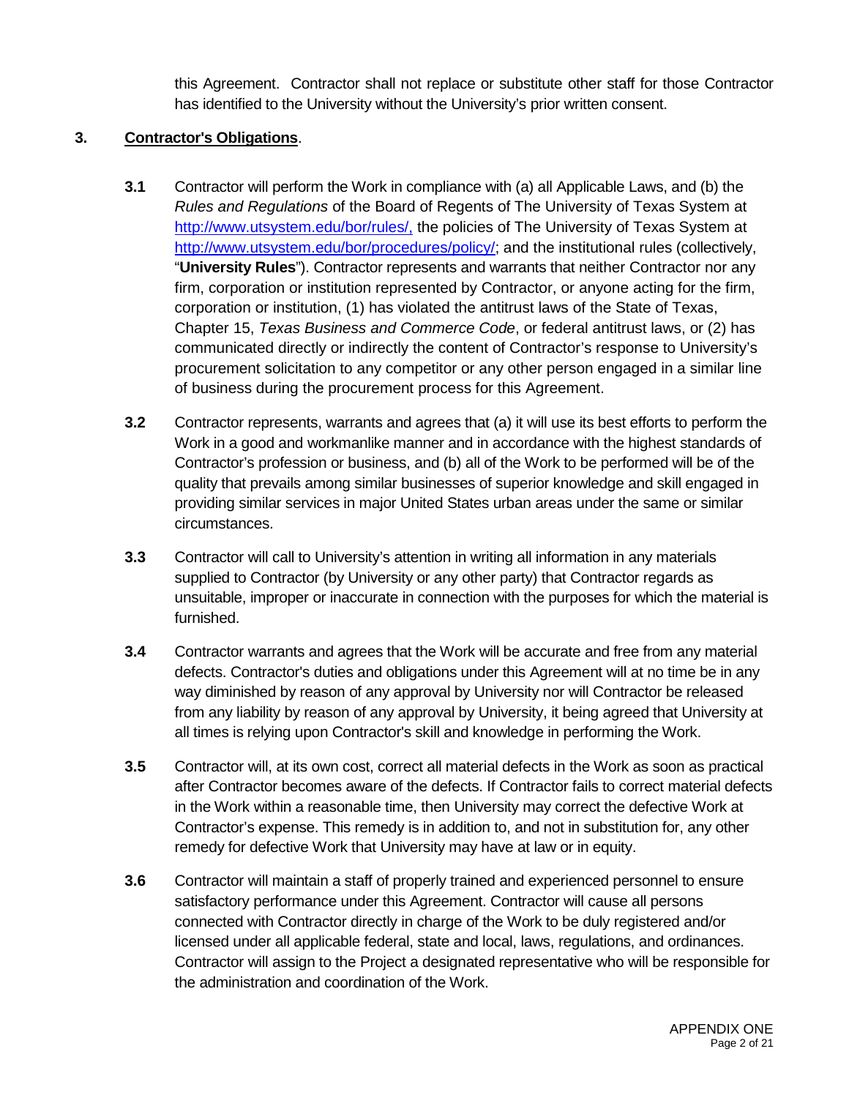this Agreement. Contractor shall not replace or substitute other staff for those Contractor has identified to the University without the University's prior written consent.

### **3. Contractor's Obligations**.

- **3.1** Contractor will perform the Work in compliance with (a) all Applicable Laws, and (b) the *Rules and Regulations* of the Board of Regents of The University of Texas System at [http://www.utsystem.edu/bor/rules/,](http://www.utsystem.edu/bor/rules/) the policies of The University of Texas System at [http://www.utsystem.edu/bor/procedures/policy/;](http://www.utsystem.edu/bor/procedures/policy/) and the institutional rules (collectively, "**University Rules**"). Contractor represents and warrants that neither Contractor nor any firm, corporation or institution represented by Contractor, or anyone acting for the firm, corporation or institution, (1) has violated the antitrust laws of the State of Texas, Chapter 15, *Texas Business and Commerce Code*, or federal antitrust laws, or (2) has communicated directly or indirectly the content of Contractor's response to University's procurement solicitation to any competitor or any other person engaged in a similar line of business during the procurement process for this Agreement.
- **3.2** Contractor represents, warrants and agrees that (a) it will use its best efforts to perform the Work in a good and workmanlike manner and in accordance with the highest standards of Contractor's profession or business, and (b) all of the Work to be performed will be of the quality that prevails among similar businesses of superior knowledge and skill engaged in providing similar services in major United States urban areas under the same or similar circumstances.
- **3.3** Contractor will call to University's attention in writing all information in any materials supplied to Contractor (by University or any other party) that Contractor regards as unsuitable, improper or inaccurate in connection with the purposes for which the material is furnished.
- **3.4** Contractor warrants and agrees that the Work will be accurate and free from any material defects. Contractor's duties and obligations under this Agreement will at no time be in any way diminished by reason of any approval by University nor will Contractor be released from any liability by reason of any approval by University, it being agreed that University at all times is relying upon Contractor's skill and knowledge in performing the Work.
- **3.5** Contractor will, at its own cost, correct all material defects in the Work as soon as practical after Contractor becomes aware of the defects. If Contractor fails to correct material defects in the Work within a reasonable time, then University may correct the defective Work at Contractor's expense. This remedy is in addition to, and not in substitution for, any other remedy for defective Work that University may have at law or in equity.
- **3.6** Contractor will maintain a staff of properly trained and experienced personnel to ensure satisfactory performance under this Agreement. Contractor will cause all persons connected with Contractor directly in charge of the Work to be duly registered and/or licensed under all applicable federal, state and local, laws, regulations, and ordinances. Contractor will assign to the Project a designated representative who will be responsible for the administration and coordination of the Work.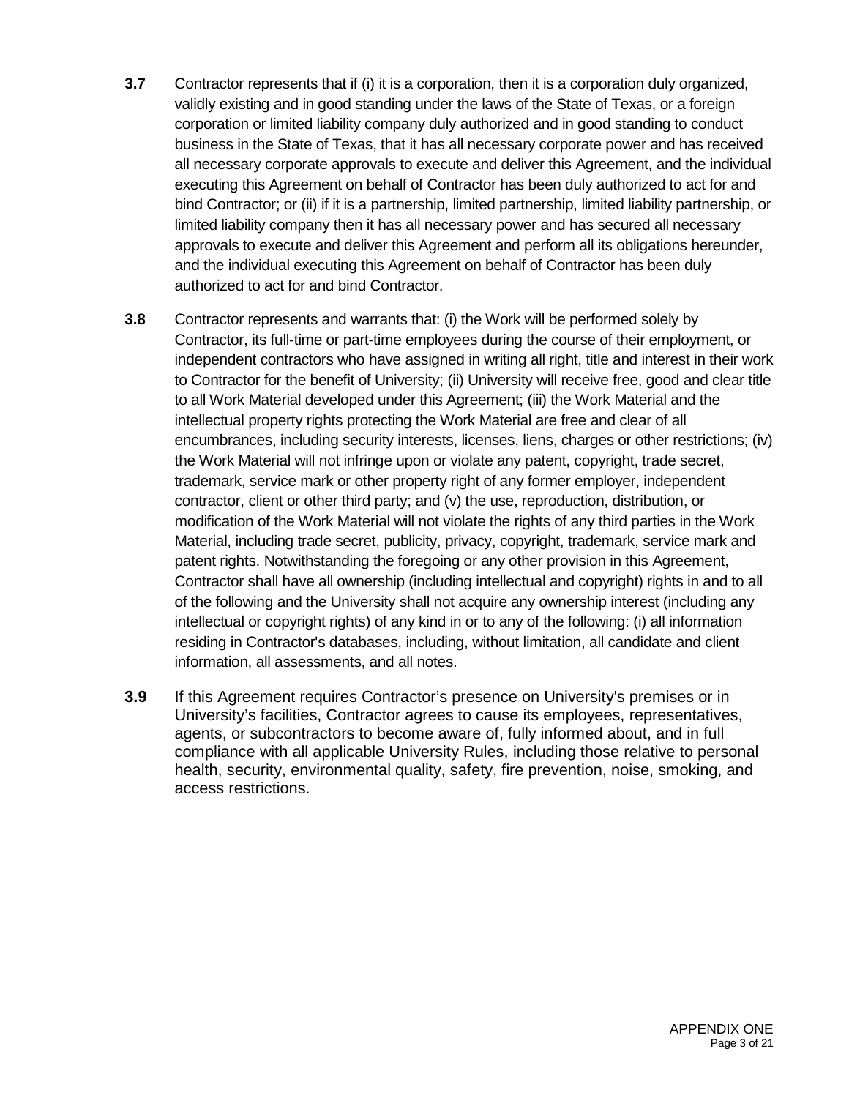- **3.7** Contractor represents that if (i) it is a corporation, then it is a corporation duly organized, validly existing and in good standing under the laws of the State of Texas, or a foreign corporation or limited liability company duly authorized and in good standing to conduct business in the State of Texas, that it has all necessary corporate power and has received all necessary corporate approvals to execute and deliver this Agreement, and the individual executing this Agreement on behalf of Contractor has been duly authorized to act for and bind Contractor; or (ii) if it is a partnership, limited partnership, limited liability partnership, or limited liability company then it has all necessary power and has secured all necessary approvals to execute and deliver this Agreement and perform all its obligations hereunder, and the individual executing this Agreement on behalf of Contractor has been duly authorized to act for and bind Contractor.
- **3.8** Contractor represents and warrants that: (i) the Work will be performed solely by Contractor, its full-time or part-time employees during the course of their employment, or independent contractors who have assigned in writing all right, title and interest in their work to Contractor for the benefit of University; (ii) University will receive free, good and clear title to all Work Material developed under this Agreement; (iii) the Work Material and the intellectual property rights protecting the Work Material are free and clear of all encumbrances, including security interests, licenses, liens, charges or other restrictions; (iv) the Work Material will not infringe upon or violate any patent, copyright, trade secret, trademark, service mark or other property right of any former employer, independent contractor, client or other third party; and (v) the use, reproduction, distribution, or modification of the Work Material will not violate the rights of any third parties in the Work Material, including trade secret, publicity, privacy, copyright, trademark, service mark and patent rights. Notwithstanding the foregoing or any other provision in this Agreement, Contractor shall have all ownership (including intellectual and copyright) rights in and to all of the following and the University shall not acquire any ownership interest (including any intellectual or copyright rights) of any kind in or to any of the following: (i) all information residing in Contractor's databases, including, without limitation, all candidate and client information, all assessments, and all notes.
- **3.9** If this Agreement requires Contractor's presence on University's premises or in University's facilities, Contractor agrees to cause its employees, representatives, agents, or subcontractors to become aware of, fully informed about, and in full compliance with all applicable University Rules, including those relative to personal health, security, environmental quality, safety, fire prevention, noise, smoking, and access restrictions.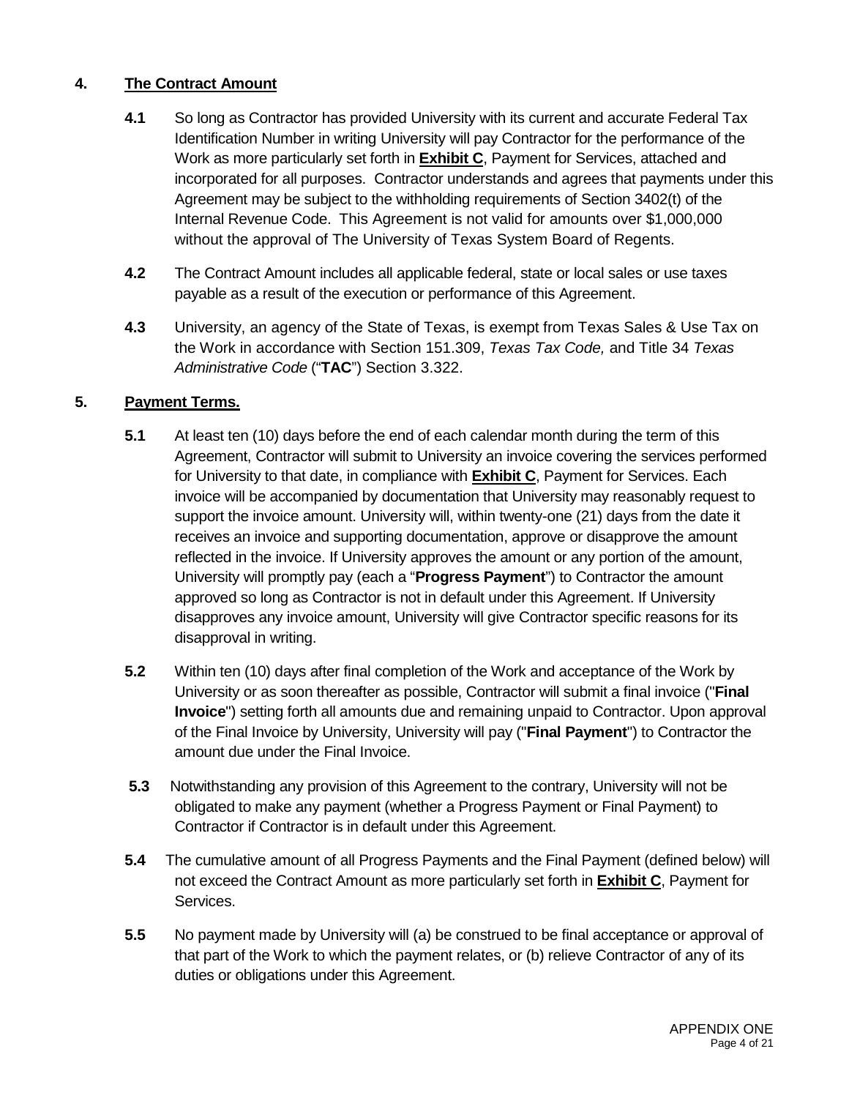## **4. The Contract Amount**

- **4.1** So long as Contractor has provided University with its current and accurate Federal Tax Identification Number in writing University will pay Contractor for the performance of the Work as more particularly set forth in **Exhibit C**, Payment for Services, attached and incorporated for all purposes. Contractor understands and agrees that payments under this Agreement may be subject to the withholding requirements of Section 3402(t) of the Internal Revenue Code. This Agreement is not valid for amounts over \$1,000,000 without the approval of The University of Texas System Board of Regents.
- **4.2** The Contract Amount includes all applicable federal, state or local sales or use taxes payable as a result of the execution or performance of this Agreement.
- **4.3** University, an agency of the State of Texas, is exempt from Texas Sales & Use Tax on the Work in accordance with Section 151.309, *Texas Tax Code,* and Title 34 *Texas Administrative Code* ("**TAC**") Section 3.322.

### **5. Payment Terms.**

- **5.1** At least ten (10) days before the end of each calendar month during the term of this Agreement, Contractor will submit to University an invoice covering the services performed for University to that date, in compliance with **Exhibit C**, Payment for Services. Each invoice will be accompanied by documentation that University may reasonably request to support the invoice amount. University will, within twenty-one (21) days from the date it receives an invoice and supporting documentation, approve or disapprove the amount reflected in the invoice. If University approves the amount or any portion of the amount, University will promptly pay (each a "**Progress Payment**") to Contractor the amount approved so long as Contractor is not in default under this Agreement. If University disapproves any invoice amount, University will give Contractor specific reasons for its disapproval in writing.
- **5.2** Within ten (10) days after final completion of the Work and acceptance of the Work by University or as soon thereafter as possible, Contractor will submit a final invoice ("**Final Invoice**") setting forth all amounts due and remaining unpaid to Contractor. Upon approval of the Final Invoice by University, University will pay ("**Final Payment**") to Contractor the amount due under the Final Invoice.
- **5.3** Notwithstanding any provision of this Agreement to the contrary, University will not be obligated to make any payment (whether a Progress Payment or Final Payment) to Contractor if Contractor is in default under this Agreement.
- **5.4** The cumulative amount of all Progress Payments and the Final Payment (defined below) will not exceed the Contract Amount as more particularly set forth in **Exhibit C**, Payment for Services.
- **5.5** No payment made by University will (a) be construed to be final acceptance or approval of that part of the Work to which the payment relates, or (b) relieve Contractor of any of its duties or obligations under this Agreement.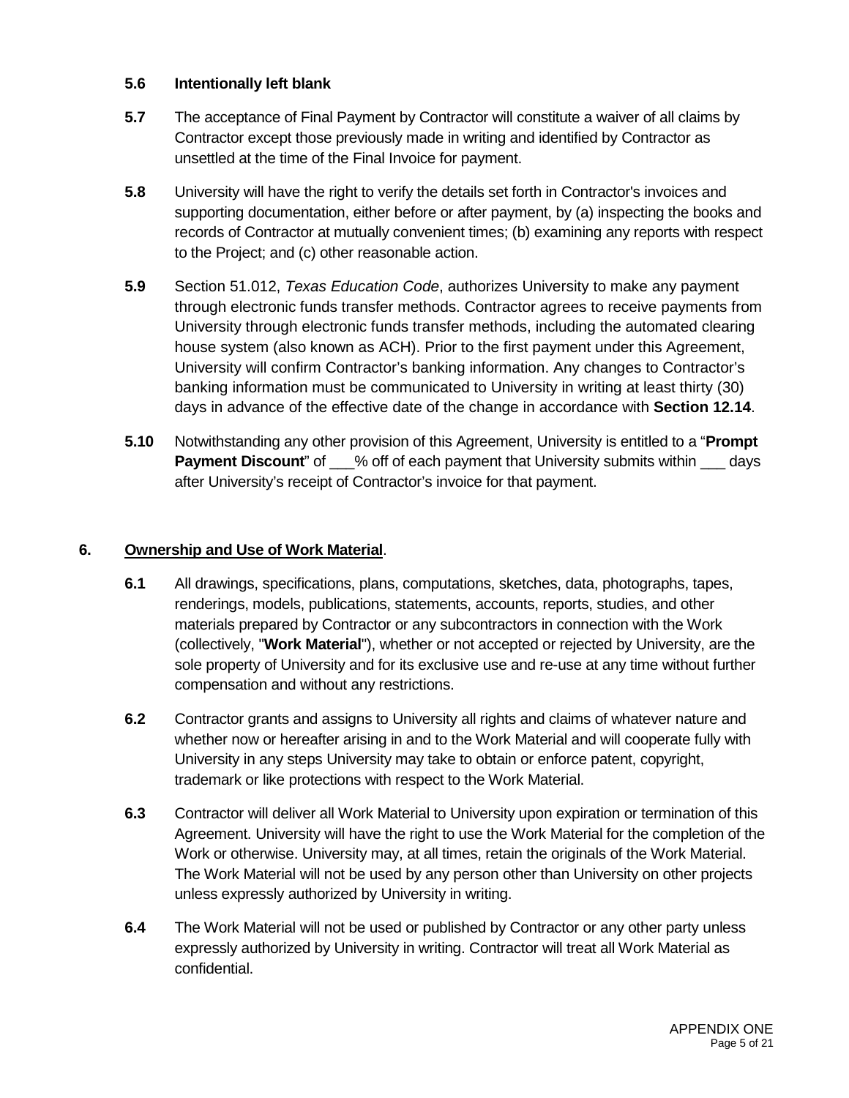### **5.6 Intentionally left blank**

- **5.7** The acceptance of Final Payment by Contractor will constitute a waiver of all claims by Contractor except those previously made in writing and identified by Contractor as unsettled at the time of the Final Invoice for payment.
- **5.8** University will have the right to verify the details set forth in Contractor's invoices and supporting documentation, either before or after payment, by (a) inspecting the books and records of Contractor at mutually convenient times; (b) examining any reports with respect to the Project; and (c) other reasonable action.
- **5.9** Section 51.012, *Texas Education Code*, authorizes University to make any payment through electronic funds transfer methods. Contractor agrees to receive payments from University through electronic funds transfer methods, including the automated clearing house system (also known as ACH). Prior to the first payment under this Agreement, University will confirm Contractor's banking information. Any changes to Contractor's banking information must be communicated to University in writing at least thirty (30) days in advance of the effective date of the change in accordance with **Section 12.14**.
- **5.10** Notwithstanding any other provision of this Agreement, University is entitled to a "**Prompt Payment Discount**" of  $\%$  off of each payment that University submits within days after University's receipt of Contractor's invoice for that payment.

### **6. Ownership and Use of Work Material**.

- **6.1** All drawings, specifications, plans, computations, sketches, data, photographs, tapes, renderings, models, publications, statements, accounts, reports, studies, and other materials prepared by Contractor or any subcontractors in connection with the Work (collectively, "**Work Material**"), whether or not accepted or rejected by University, are the sole property of University and for its exclusive use and re-use at any time without further compensation and without any restrictions.
- **6.2** Contractor grants and assigns to University all rights and claims of whatever nature and whether now or hereafter arising in and to the Work Material and will cooperate fully with University in any steps University may take to obtain or enforce patent, copyright, trademark or like protections with respect to the Work Material.
- **6.3** Contractor will deliver all Work Material to University upon expiration or termination of this Agreement. University will have the right to use the Work Material for the completion of the Work or otherwise. University may, at all times, retain the originals of the Work Material. The Work Material will not be used by any person other than University on other projects unless expressly authorized by University in writing.
- **6.4** The Work Material will not be used or published by Contractor or any other party unless expressly authorized by University in writing. Contractor will treat all Work Material as confidential.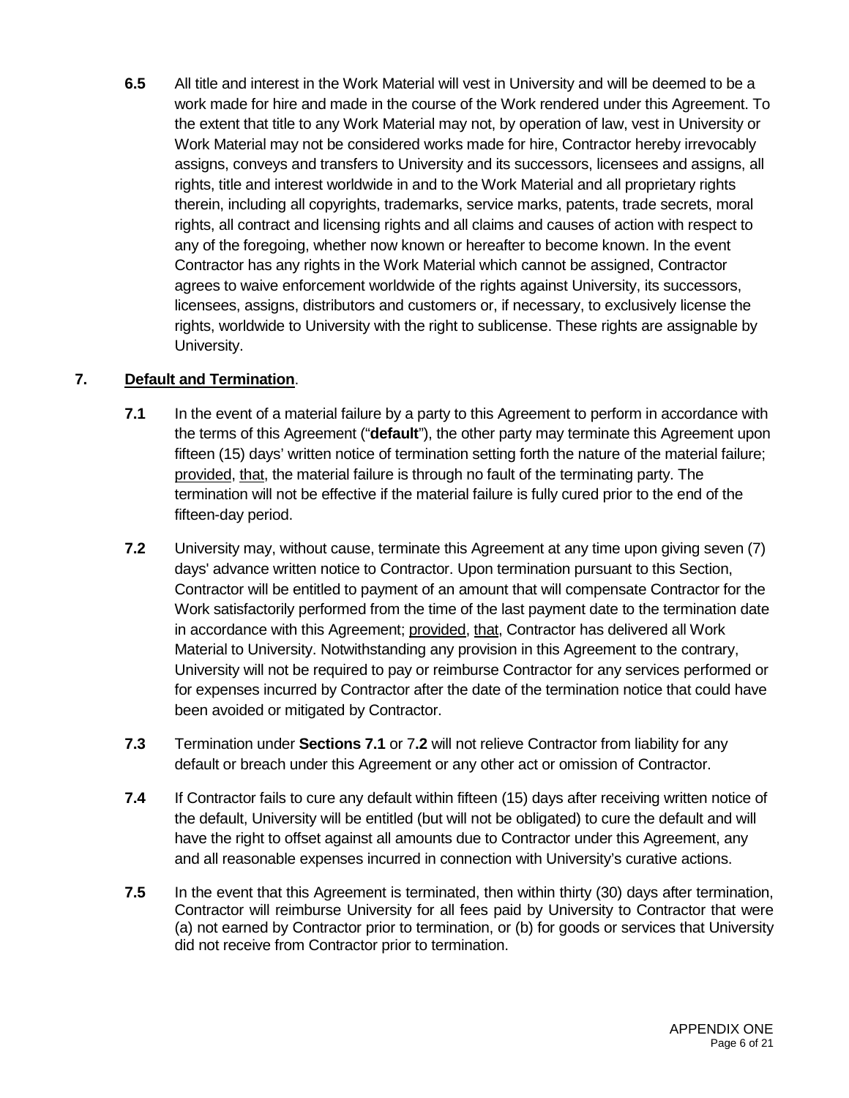**6.5** All title and interest in the Work Material will vest in University and will be deemed to be a work made for hire and made in the course of the Work rendered under this Agreement. To the extent that title to any Work Material may not, by operation of law, vest in University or Work Material may not be considered works made for hire, Contractor hereby irrevocably assigns, conveys and transfers to University and its successors, licensees and assigns, all rights, title and interest worldwide in and to the Work Material and all proprietary rights therein, including all copyrights, trademarks, service marks, patents, trade secrets, moral rights, all contract and licensing rights and all claims and causes of action with respect to any of the foregoing, whether now known or hereafter to become known. In the event Contractor has any rights in the Work Material which cannot be assigned, Contractor agrees to waive enforcement worldwide of the rights against University, its successors, licensees, assigns, distributors and customers or, if necessary, to exclusively license the rights, worldwide to University with the right to sublicense. These rights are assignable by University.

## **7. Default and Termination**.

- **7.1** In the event of a material failure by a party to this Agreement to perform in accordance with the terms of this Agreement ("**default**"), the other party may terminate this Agreement upon fifteen (15) days' written notice of termination setting forth the nature of the material failure; provided, that, the material failure is through no fault of the terminating party. The termination will not be effective if the material failure is fully cured prior to the end of the fifteen-day period.
- **7.2** University may, without cause, terminate this Agreement at any time upon giving seven (7) days' advance written notice to Contractor. Upon termination pursuant to this Section, Contractor will be entitled to payment of an amount that will compensate Contractor for the Work satisfactorily performed from the time of the last payment date to the termination date in accordance with this Agreement; provided, that, Contractor has delivered all Work Material to University. Notwithstanding any provision in this Agreement to the contrary, University will not be required to pay or reimburse Contractor for any services performed or for expenses incurred by Contractor after the date of the termination notice that could have been avoided or mitigated by Contractor.
- **7.3** Termination under **Sections 7.1** or 7**.2** will not relieve Contractor from liability for any default or breach under this Agreement or any other act or omission of Contractor.
- **7.4** If Contractor fails to cure any default within fifteen (15) days after receiving written notice of the default, University will be entitled (but will not be obligated) to cure the default and will have the right to offset against all amounts due to Contractor under this Agreement, any and all reasonable expenses incurred in connection with University's curative actions.
- **7.5** In the event that this Agreement is terminated, then within thirty (30) days after termination, Contractor will reimburse University for all fees paid by University to Contractor that were (a) not earned by Contractor prior to termination, or (b) for goods or services that University did not receive from Contractor prior to termination.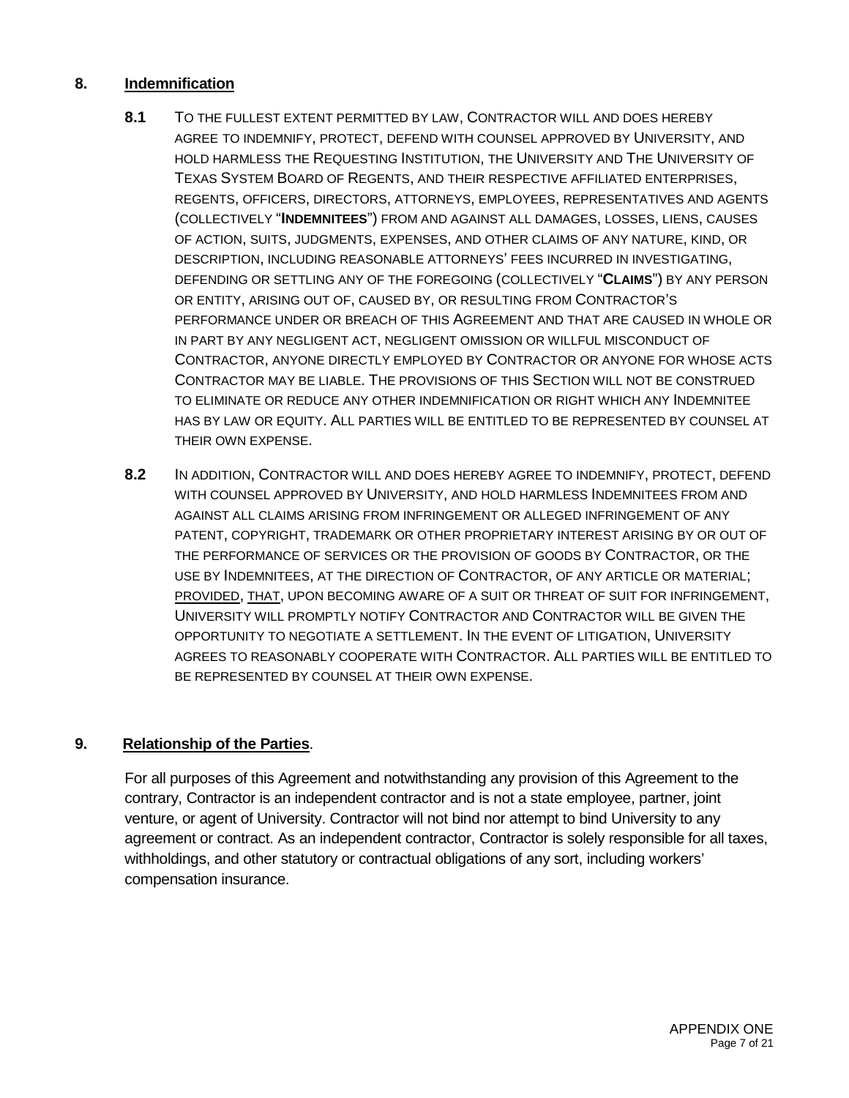### **8. Indemnification**

- **8.1** TO THE FULLEST EXTENT PERMITTED BY LAW, CONTRACTOR WILL AND DOES HEREBY AGREE TO INDEMNIFY, PROTECT, DEFEND WITH COUNSEL APPROVED BY UNIVERSITY, AND HOLD HARMLESS THE REQUESTING INSTITUTION, THE UNIVERSITY AND THE UNIVERSITY OF TEXAS SYSTEM BOARD OF REGENTS, AND THEIR RESPECTIVE AFFILIATED ENTERPRISES, REGENTS, OFFICERS, DIRECTORS, ATTORNEYS, EMPLOYEES, REPRESENTATIVES AND AGENTS (COLLECTIVELY "**INDEMNITEES**") FROM AND AGAINST ALL DAMAGES, LOSSES, LIENS, CAUSES OF ACTION, SUITS, JUDGMENTS, EXPENSES, AND OTHER CLAIMS OF ANY NATURE, KIND, OR DESCRIPTION, INCLUDING REASONABLE ATTORNEYS' FEES INCURRED IN INVESTIGATING, DEFENDING OR SETTLING ANY OF THE FOREGOING (COLLECTIVELY "**CLAIMS**") BY ANY PERSON OR ENTITY, ARISING OUT OF, CAUSED BY, OR RESULTING FROM CONTRACTOR'S PERFORMANCE UNDER OR BREACH OF THIS AGREEMENT AND THAT ARE CAUSED IN WHOLE OR IN PART BY ANY NEGLIGENT ACT, NEGLIGENT OMISSION OR WILLFUL MISCONDUCT OF CONTRACTOR, ANYONE DIRECTLY EMPLOYED BY CONTRACTOR OR ANYONE FOR WHOSE ACTS CONTRACTOR MAY BE LIABLE. THE PROVISIONS OF THIS SECTION WILL NOT BE CONSTRUED TO ELIMINATE OR REDUCE ANY OTHER INDEMNIFICATION OR RIGHT WHICH ANY INDEMNITEE HAS BY LAW OR EQUITY. ALL PARTIES WILL BE ENTITLED TO BE REPRESENTED BY COUNSEL AT THEIR OWN EXPENSE.
- **8.2** IN ADDITION, CONTRACTOR WILL AND DOES HEREBY AGREE TO INDEMNIFY, PROTECT, DEFEND WITH COUNSEL APPROVED BY UNIVERSITY, AND HOLD HARMLESS INDEMNITEES FROM AND AGAINST ALL CLAIMS ARISING FROM INFRINGEMENT OR ALLEGED INFRINGEMENT OF ANY PATENT, COPYRIGHT, TRADEMARK OR OTHER PROPRIETARY INTEREST ARISING BY OR OUT OF THE PERFORMANCE OF SERVICES OR THE PROVISION OF GOODS BY CONTRACTOR, OR THE USE BY INDEMNITEES, AT THE DIRECTION OF CONTRACTOR, OF ANY ARTICLE OR MATERIAL; PROVIDED, THAT, UPON BECOMING AWARE OF A SUIT OR THREAT OF SUIT FOR INFRINGEMENT, UNIVERSITY WILL PROMPTLY NOTIFY CONTRACTOR AND CONTRACTOR WILL BE GIVEN THE OPPORTUNITY TO NEGOTIATE A SETTLEMENT. IN THE EVENT OF LITIGATION, UNIVERSITY AGREES TO REASONABLY COOPERATE WITH CONTRACTOR. ALL PARTIES WILL BE ENTITLED TO BE REPRESENTED BY COUNSEL AT THEIR OWN EXPENSE.

## **9. Relationship of the Parties**.

For all purposes of this Agreement and notwithstanding any provision of this Agreement to the contrary, Contractor is an independent contractor and is not a state employee, partner, joint venture, or agent of University. Contractor will not bind nor attempt to bind University to any agreement or contract. As an independent contractor, Contractor is solely responsible for all taxes, withholdings, and other statutory or contractual obligations of any sort, including workers' compensation insurance.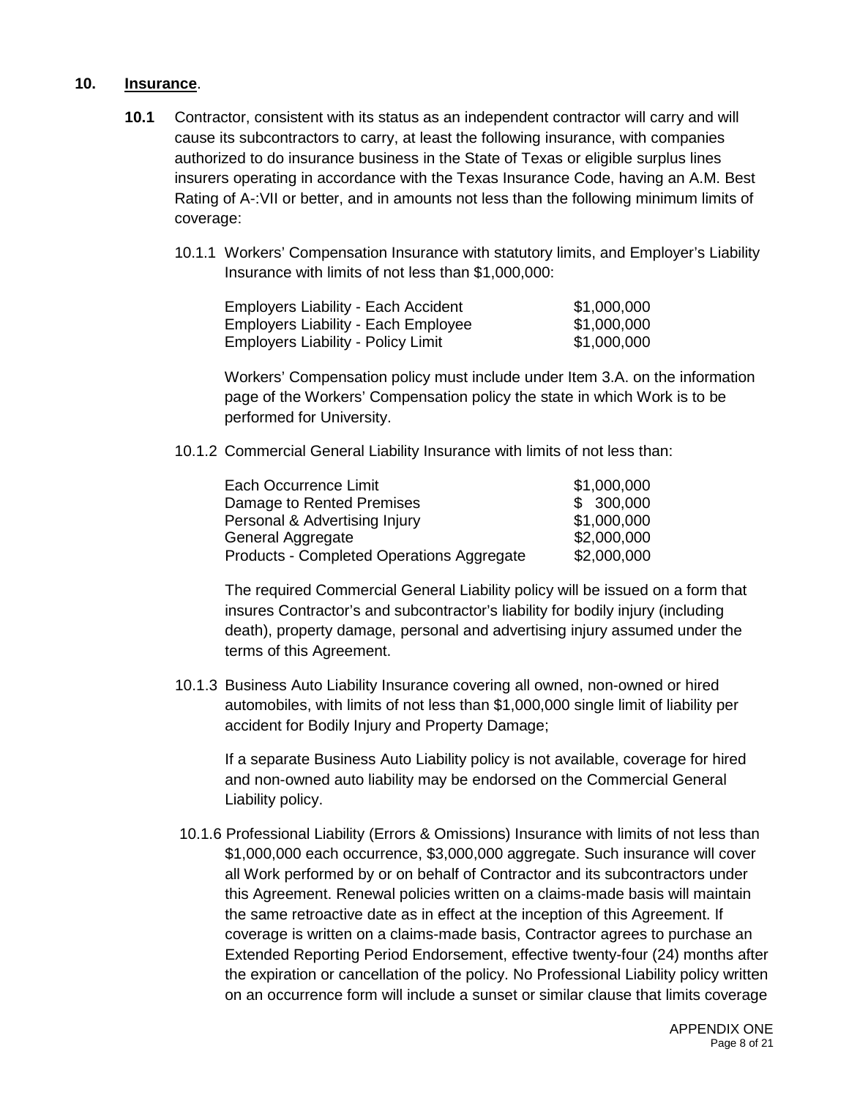### **10. Insurance**.

- **10.1** Contractor, consistent with its status as an independent contractor will carry and will cause its subcontractors to carry, at least the following insurance, with companies authorized to do insurance business in the State of Texas or eligible surplus lines insurers operating in accordance with the Texas Insurance Code, having an A.M. Best Rating of A-:VII or better, and in amounts not less than the following minimum limits of coverage:
	- 10.1.1 Workers' Compensation Insurance with statutory limits, and Employer's Liability Insurance with limits of not less than \$1,000,000:

| <b>Employers Liability - Each Accident</b> | \$1,000,000 |
|--------------------------------------------|-------------|
| <b>Employers Liability - Each Employee</b> | \$1,000,000 |
| <b>Employers Liability - Policy Limit</b>  | \$1,000,000 |

Workers' Compensation policy must include under Item 3.A. on the information page of the Workers' Compensation policy the state in which Work is to be performed for University.

10.1.2 Commercial General Liability Insurance with limits of not less than:

| Each Occurrence Limit                     | \$1,000,000 |
|-------------------------------------------|-------------|
| Damage to Rented Premises                 | \$300,000   |
| Personal & Advertising Injury             | \$1,000,000 |
| General Aggregate                         | \$2,000,000 |
| Products - Completed Operations Aggregate | \$2,000,000 |

The required Commercial General Liability policy will be issued on a form that insures Contractor's and subcontractor's liability for bodily injury (including death), property damage, personal and advertising injury assumed under the terms of this Agreement.

10.1.3 Business Auto Liability Insurance covering all owned, non-owned or hired automobiles, with limits of not less than \$1,000,000 single limit of liability per accident for Bodily Injury and Property Damage;

If a separate Business Auto Liability policy is not available, coverage for hired and non-owned auto liability may be endorsed on the Commercial General Liability policy.

10.1.6 Professional Liability (Errors & Omissions) Insurance with limits of not less than \$1,000,000 each occurrence, \$3,000,000 aggregate. Such insurance will cover all Work performed by or on behalf of Contractor and its subcontractors under this Agreement. Renewal policies written on a claims-made basis will maintain the same retroactive date as in effect at the inception of this Agreement. If coverage is written on a claims-made basis, Contractor agrees to purchase an Extended Reporting Period Endorsement, effective twenty-four (24) months after the expiration or cancellation of the policy. No Professional Liability policy written on an occurrence form will include a sunset or similar clause that limits coverage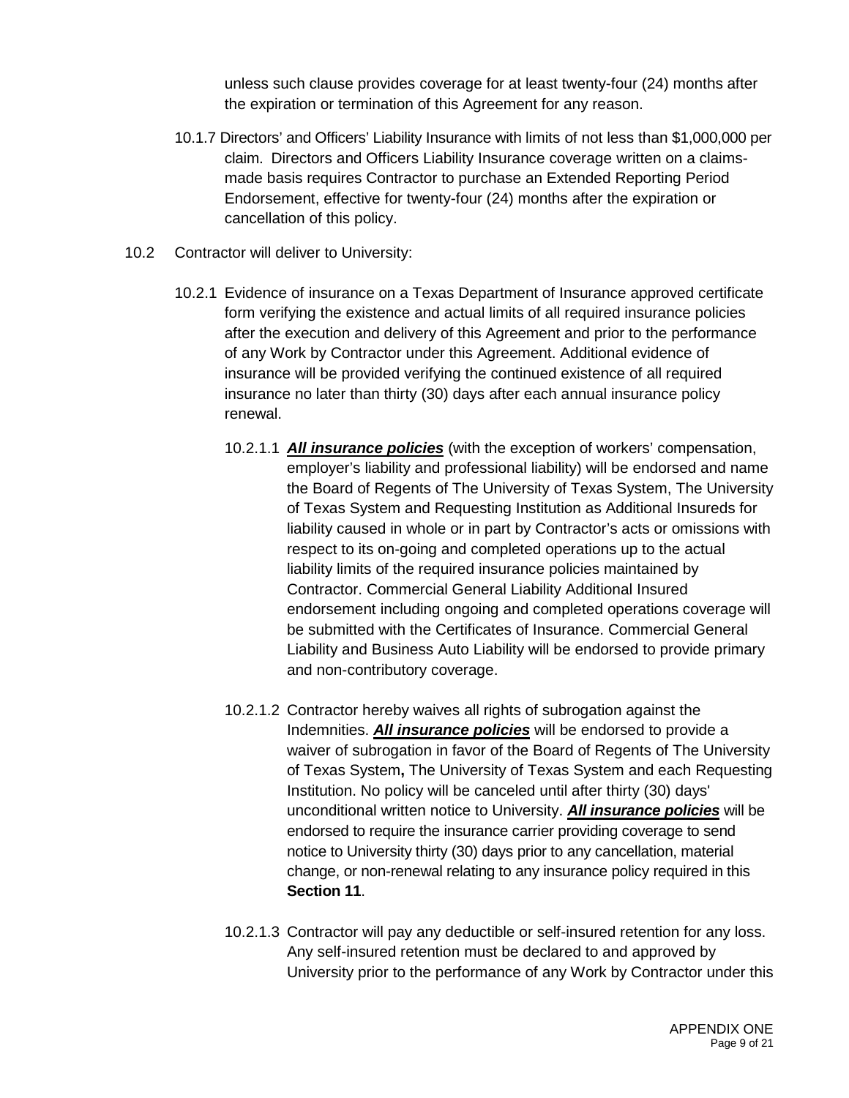unless such clause provides coverage for at least twenty-four (24) months after the expiration or termination of this Agreement for any reason.

- 10.1.7 Directors' and Officers' Liability Insurance with limits of not less than \$1,000,000 per claim. Directors and Officers Liability Insurance coverage written on a claimsmade basis requires Contractor to purchase an Extended Reporting Period Endorsement, effective for twenty-four (24) months after the expiration or cancellation of this policy.
- 10.2 Contractor will deliver to University:
	- 10.2.1 Evidence of insurance on a Texas Department of Insurance approved certificate form verifying the existence and actual limits of all required insurance policies after the execution and delivery of this Agreement and prior to the performance of any Work by Contractor under this Agreement. Additional evidence of insurance will be provided verifying the continued existence of all required insurance no later than thirty (30) days after each annual insurance policy renewal.
		- 10.2.1.1 *All insurance policies* (with the exception of workers' compensation, employer's liability and professional liability) will be endorsed and name the Board of Regents of The University of Texas System, The University of Texas System and Requesting Institution as Additional Insureds for liability caused in whole or in part by Contractor's acts or omissions with respect to its on-going and completed operations up to the actual liability limits of the required insurance policies maintained by Contractor. Commercial General Liability Additional Insured endorsement including ongoing and completed operations coverage will be submitted with the Certificates of Insurance. Commercial General Liability and Business Auto Liability will be endorsed to provide primary and non-contributory coverage.
		- 10.2.1.2 Contractor hereby waives all rights of subrogation against the Indemnities. *All insurance policies* will be endorsed to provide a waiver of subrogation in favor of the Board of Regents of The University of Texas System**,** The University of Texas System and each Requesting Institution. No policy will be canceled until after thirty (30) days' unconditional written notice to University. *All insurance policies* will be endorsed to require the insurance carrier providing coverage to send notice to University thirty (30) days prior to any cancellation, material change, or non-renewal relating to any insurance policy required in this **Section 11**.
		- 10.2.1.3 Contractor will pay any deductible or self-insured retention for any loss. Any self-insured retention must be declared to and approved by University prior to the performance of any Work by Contractor under this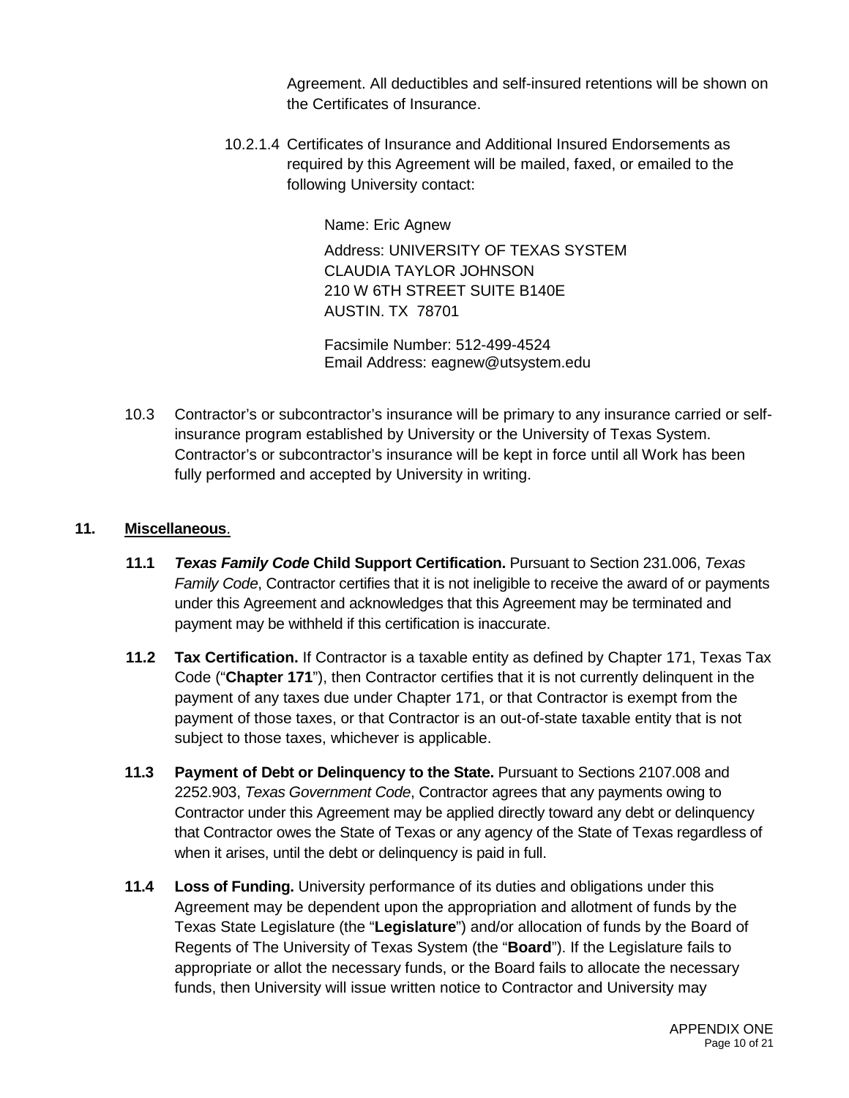Agreement. All deductibles and self-insured retentions will be shown on the Certificates of Insurance.

10.2.1.4 Certificates of Insurance and Additional Insured Endorsements as required by this Agreement will be mailed, faxed, or emailed to the following University contact:

Name: Eric Agnew

Address: UNIVERSITY OF TEXAS SYSTEM CLAUDIA TAYLOR JOHNSON 210 W 6TH STREET SUITE B140E AUSTIN. TX 78701

Facsimile Number: 512-499-4524 Email Address: eagnew@utsystem.edu

10.3 Contractor's or subcontractor's insurance will be primary to any insurance carried or selfinsurance program established by University or the University of Texas System. Contractor's or subcontractor's insurance will be kept in force until all Work has been fully performed and accepted by University in writing.

### **11. Miscellaneous**.

- **11.1** *Texas Family Code* **Child Support Certification.** Pursuant to Section 231.006, *Texas Family Code*, Contractor certifies that it is not ineligible to receive the award of or payments under this Agreement and acknowledges that this Agreement may be terminated and payment may be withheld if this certification is inaccurate.
- **11.2 Tax Certification.** If Contractor is a taxable entity as defined by Chapter 171, Texas Tax Code ("**Chapter 171**"), then Contractor certifies that it is not currently delinquent in the payment of any taxes due under Chapter 171, or that Contractor is exempt from the payment of those taxes, or that Contractor is an out-of-state taxable entity that is not subject to those taxes, whichever is applicable.
- **11.3 Payment of Debt or Delinquency to the State.** Pursuant to Sections 2107.008 and 2252.903, *Texas Government Code*, Contractor agrees that any payments owing to Contractor under this Agreement may be applied directly toward any debt or delinquency that Contractor owes the State of Texas or any agency of the State of Texas regardless of when it arises, until the debt or delinquency is paid in full.
- **11.4 Loss of Funding.** University performance of its duties and obligations under this Agreement may be dependent upon the appropriation and allotment of funds by the Texas State Legislature (the "**Legislature**") and/or allocation of funds by the Board of Regents of The University of Texas System (the "**Board**"). If the Legislature fails to appropriate or allot the necessary funds, or the Board fails to allocate the necessary funds, then University will issue written notice to Contractor and University may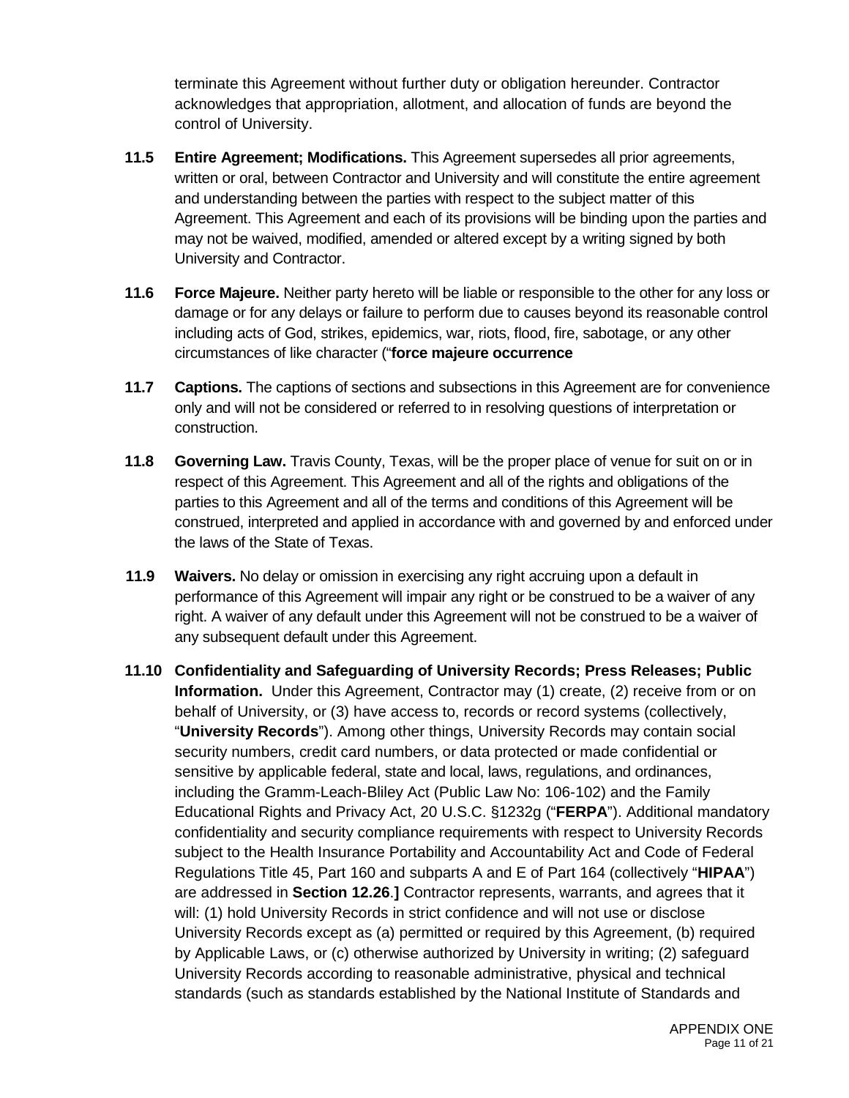terminate this Agreement without further duty or obligation hereunder. Contractor acknowledges that appropriation, allotment, and allocation of funds are beyond the control of University.

- **11.5 Entire Agreement; Modifications.** This Agreement supersedes all prior agreements, written or oral, between Contractor and University and will constitute the entire agreement and understanding between the parties with respect to the subject matter of this Agreement. This Agreement and each of its provisions will be binding upon the parties and may not be waived, modified, amended or altered except by a writing signed by both University and Contractor.
- **11.6 Force Majeure.** Neither party hereto will be liable or responsible to the other for any loss or damage or for any delays or failure to perform due to causes beyond its reasonable control including acts of God, strikes, epidemics, war, riots, flood, fire, sabotage, or any other circumstances of like character ("**force majeure occurrence**
- **11.7 Captions.** The captions of sections and subsections in this Agreement are for convenience only and will not be considered or referred to in resolving questions of interpretation or construction.
- **11.8 Governing Law.** Travis County, Texas, will be the proper place of venue for suit on or in respect of this Agreement. This Agreement and all of the rights and obligations of the parties to this Agreement and all of the terms and conditions of this Agreement will be construed, interpreted and applied in accordance with and governed by and enforced under the laws of the State of Texas.
- **11.9 Waivers.** No delay or omission in exercising any right accruing upon a default in performance of this Agreement will impair any right or be construed to be a waiver of any right. A waiver of any default under this Agreement will not be construed to be a waiver of any subsequent default under this Agreement.
- **11.10 Confidentiality and Safeguarding of University Records; Press Releases; Public Information.** Under this Agreement, Contractor may (1) create, (2) receive from or on behalf of University, or (3) have access to, records or record systems (collectively, "**University Records**"). Among other things, University Records may contain social security numbers, credit card numbers, or data protected or made confidential or sensitive by applicable federal, state and local, laws, regulations, and ordinances, including the Gramm-Leach-Bliley Act (Public Law No: 106-102) and the Family Educational Rights and Privacy Act, 20 U.S.C. §1232g ("**FERPA**"). Additional mandatory confidentiality and security compliance requirements with respect to University Records subject to the Health Insurance Portability and Accountability Act and Code of Federal Regulations Title 45, Part 160 and subparts A and E of Part 164 (collectively "**HIPAA**") are addressed in **Section 12.26**.**]** Contractor represents, warrants, and agrees that it will: (1) hold University Records in strict confidence and will not use or disclose University Records except as (a) permitted or required by this Agreement, (b) required by Applicable Laws, or (c) otherwise authorized by University in writing; (2) safeguard University Records according to reasonable administrative, physical and technical standards (such as standards established by the National Institute of Standards and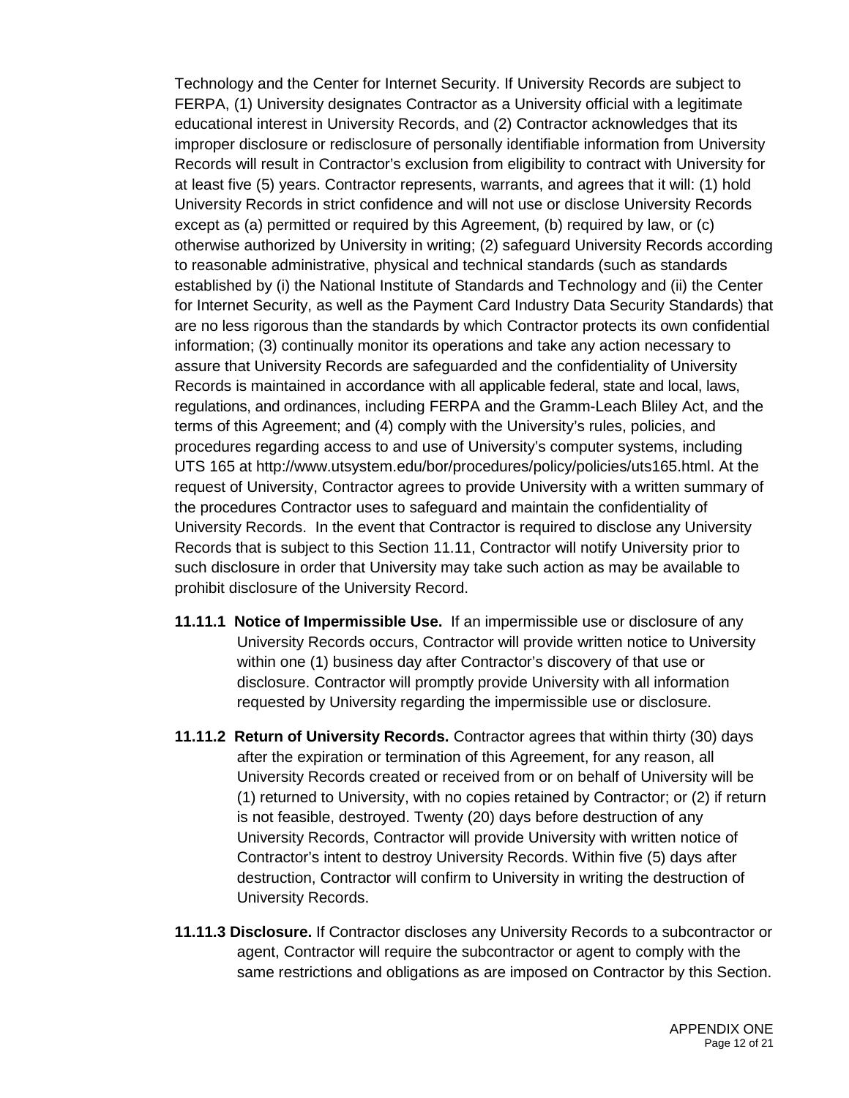Technology and the Center for Internet Security. If University Records are subject to FERPA, (1) University designates Contractor as a University official with a legitimate educational interest in University Records, and (2) Contractor acknowledges that its improper disclosure or redisclosure of personally identifiable information from University Records will result in Contractor's exclusion from eligibility to contract with University for at least five (5) years. Contractor represents, warrants, and agrees that it will: (1) hold University Records in strict confidence and will not use or disclose University Records except as (a) permitted or required by this Agreement, (b) required by law, or (c) otherwise authorized by University in writing; (2) safeguard University Records according to reasonable administrative, physical and technical standards (such as standards established by (i) the National Institute of Standards and Technology and (ii) the Center for Internet Security, as well as the Payment Card Industry Data Security Standards) that are no less rigorous than the standards by which Contractor protects its own confidential information; (3) continually monitor its operations and take any action necessary to assure that University Records are safeguarded and the confidentiality of University Records is maintained in accordance with all applicable federal, state and local, laws, regulations, and ordinances, including FERPA and the Gramm-Leach Bliley Act, and the terms of this Agreement; and (4) comply with the University's rules, policies, and procedures regarding access to and use of University's computer systems, including UTS 165 at http://www.utsystem.edu/bor/procedures/policy/policies/uts165.html. At the request of University, Contractor agrees to provide University with a written summary of the procedures Contractor uses to safeguard and maintain the confidentiality of University Records. In the event that Contractor is required to disclose any University Records that is subject to this Section 11.11, Contractor will notify University prior to such disclosure in order that University may take such action as may be available to prohibit disclosure of the University Record.

- **11.11.1 Notice of Impermissible Use.** If an impermissible use or disclosure of any University Records occurs, Contractor will provide written notice to University within one (1) business day after Contractor's discovery of that use or disclosure. Contractor will promptly provide University with all information requested by University regarding the impermissible use or disclosure.
- **11.11.2 Return of University Records.** Contractor agrees that within thirty (30) days after the expiration or termination of this Agreement, for any reason, all University Records created or received from or on behalf of University will be (1) returned to University, with no copies retained by Contractor; or (2) if return is not feasible, destroyed. Twenty (20) days before destruction of any University Records, Contractor will provide University with written notice of Contractor's intent to destroy University Records. Within five (5) days after destruction, Contractor will confirm to University in writing the destruction of University Records.
- **11.11.3 Disclosure.** If Contractor discloses any University Records to a subcontractor or agent, Contractor will require the subcontractor or agent to comply with the same restrictions and obligations as are imposed on Contractor by this Section.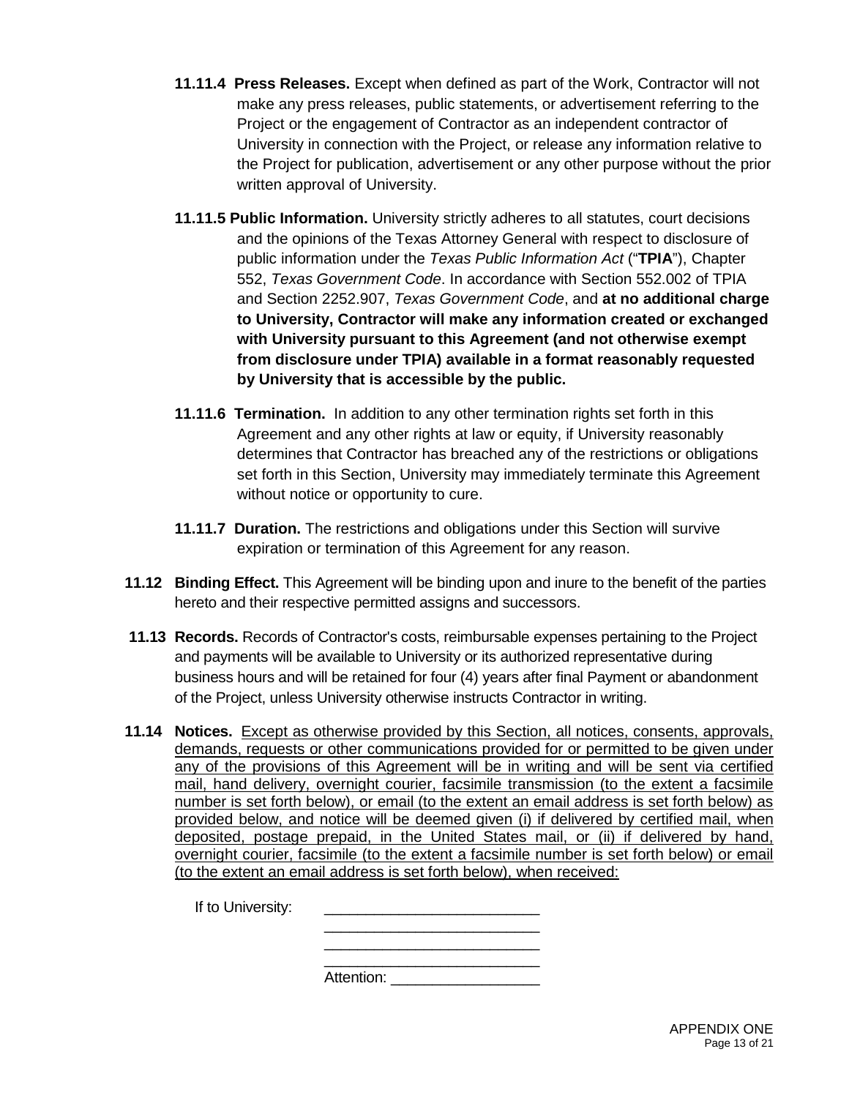- **11.11.4 Press Releases.** Except when defined as part of the Work, Contractor will not make any press releases, public statements, or advertisement referring to the Project or the engagement of Contractor as an independent contractor of University in connection with the Project, or release any information relative to the Project for publication, advertisement or any other purpose without the prior written approval of University.
- **11.11.5 Public Information.** University strictly adheres to all statutes, court decisions and the opinions of the Texas Attorney General with respect to disclosure of public information under the *Texas Public Information Act* ("**TPIA**"), Chapter 552, *Texas Government Code*. In accordance with Section 552.002 of TPIA and Section 2252.907, *Texas Government Code*, and **at no additional charge to University, Contractor will make any information created or exchanged with University pursuant to this Agreement (and not otherwise exempt from disclosure under TPIA) available in a format reasonably requested by University that is accessible by the public.**
- **11.11.6 Termination.** In addition to any other termination rights set forth in this Agreement and any other rights at law or equity, if University reasonably determines that Contractor has breached any of the restrictions or obligations set forth in this Section, University may immediately terminate this Agreement without notice or opportunity to cure.
- **11.11.7 Duration.** The restrictions and obligations under this Section will survive expiration or termination of this Agreement for any reason.
- **11.12 Binding Effect.** This Agreement will be binding upon and inure to the benefit of the parties hereto and their respective permitted assigns and successors.
- **11.13 Records.** Records of Contractor's costs, reimbursable expenses pertaining to the Project and payments will be available to University or its authorized representative during business hours and will be retained for four (4) years after final Payment or abandonment of the Project, unless University otherwise instructs Contractor in writing.
- **11.14 Notices.** Except as otherwise provided by this Section, all notices, consents, approvals, demands, requests or other communications provided for or permitted to be given under any of the provisions of this Agreement will be in writing and will be sent via certified mail, hand delivery, overnight courier, facsimile transmission (to the extent a facsimile number is set forth below), or email (to the extent an email address is set forth below) as provided below, and notice will be deemed given (i) if delivered by certified mail, when deposited, postage prepaid, in the United States mail, or (ii) if delivered by hand, overnight courier, facsimile (to the extent a facsimile number is set forth below) or email (to the extent an email address is set forth below), when received:

If to University: \_\_\_\_\_\_\_\_\_\_\_\_\_\_\_\_\_\_\_\_\_\_\_\_\_\_ \_\_\_\_\_\_\_\_\_\_\_\_\_\_\_\_\_\_\_\_\_\_\_\_\_\_ \_\_\_\_\_\_\_\_\_\_\_\_\_\_\_\_\_\_\_\_\_\_\_\_\_\_ Attention: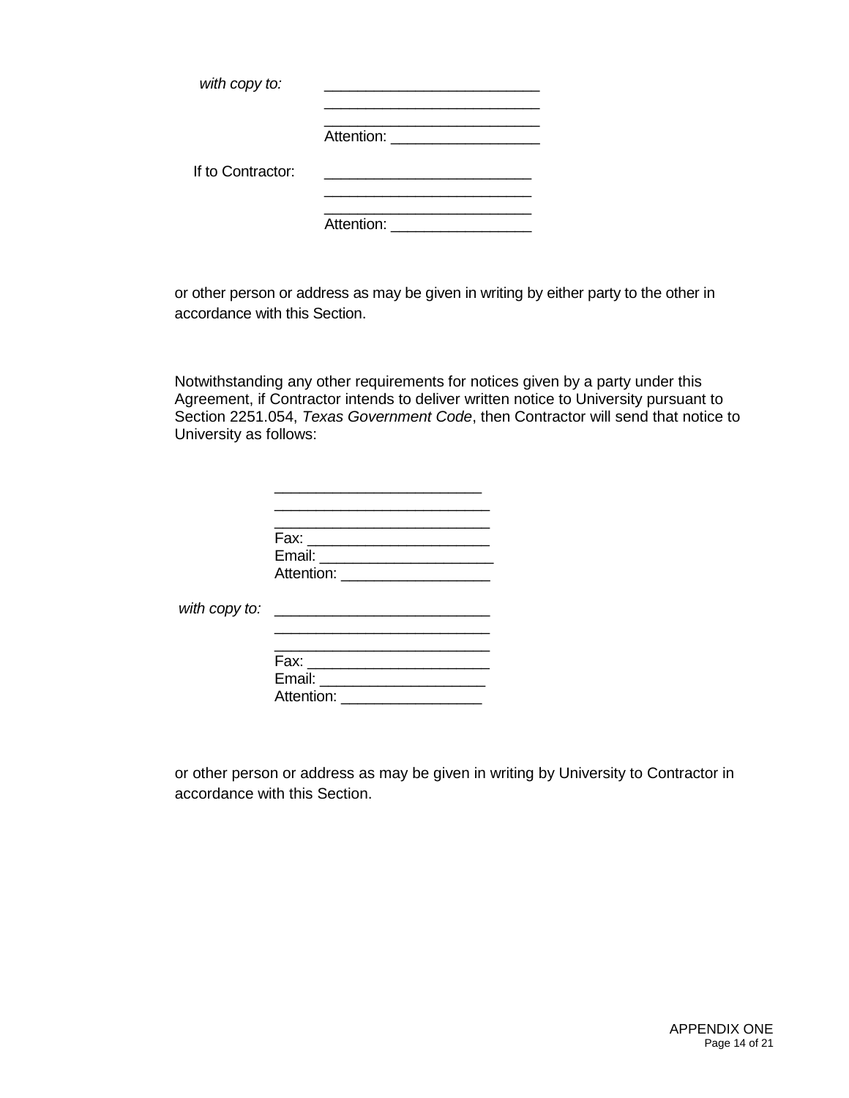| with copy to:     |                                    |
|-------------------|------------------------------------|
|                   | Attention: <u>________________</u> |
| If to Contractor: |                                    |
|                   | Attention: Attention:              |

or other person or address as may be given in writing by either party to the other in accordance with this Section.

Notwithstanding any other requirements for notices given by a party under this Agreement, if Contractor intends to deliver written notice to University pursuant to Section 2251.054, *Texas Government Code*, then Contractor will send that notice to University as follows:

| Fax:       |  |  |  |
|------------|--|--|--|
| Email: __  |  |  |  |
| Attention: |  |  |  |
|            |  |  |  |
|            |  |  |  |

*with copy to:* \_\_\_\_\_\_\_\_\_\_\_\_\_\_\_\_\_\_\_\_\_\_\_\_\_\_

| Fax:       |  |
|------------|--|
| Email:     |  |
| Attention: |  |

\_\_\_\_\_\_\_\_\_\_\_\_\_\_\_\_\_\_\_\_\_\_\_\_\_\_

or other person or address as may be given in writing by University to Contractor in accordance with this Section.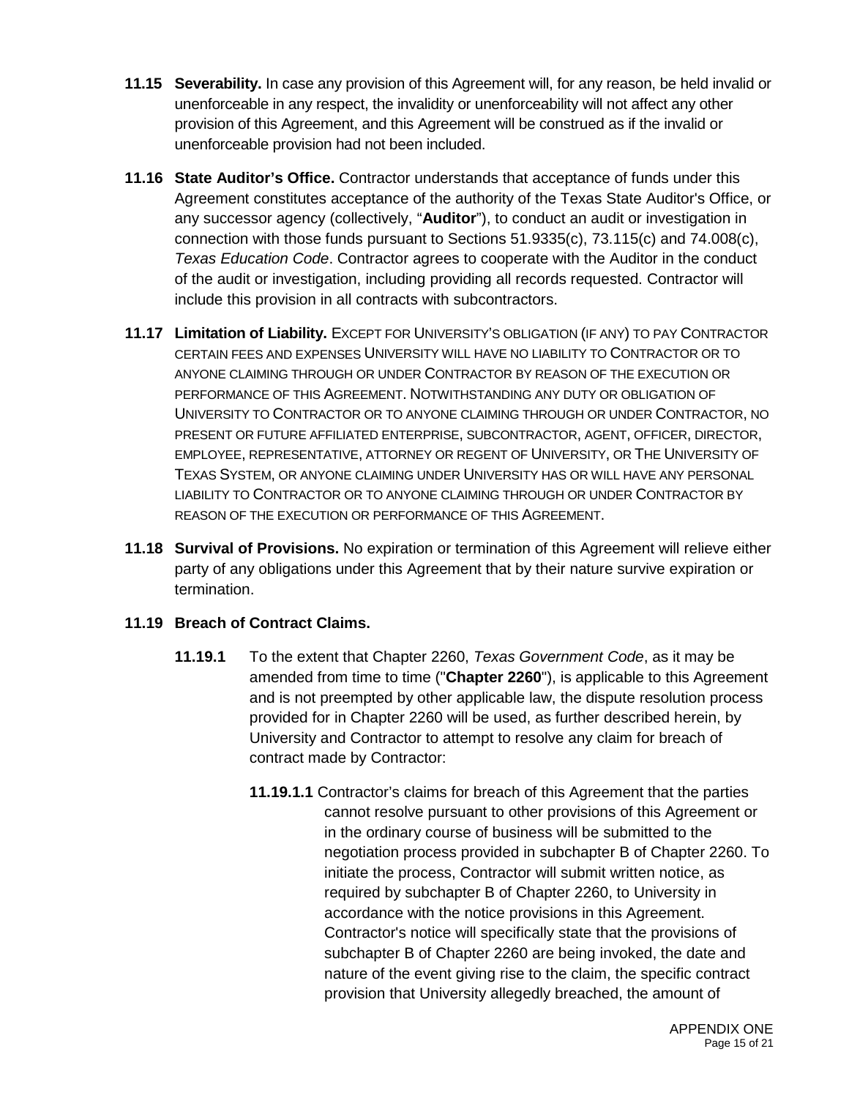- **11.15 Severability.** In case any provision of this Agreement will, for any reason, be held invalid or unenforceable in any respect, the invalidity or unenforceability will not affect any other provision of this Agreement, and this Agreement will be construed as if the invalid or unenforceable provision had not been included.
- **11.16 State Auditor's Office.** Contractor understands that acceptance of funds under this Agreement constitutes acceptance of the authority of the Texas State Auditor's Office, or any successor agency (collectively, "**Auditor**"), to conduct an audit or investigation in connection with those funds pursuant to Sections 51.9335(c), 73.115(c) and 74.008(c), *Texas Education Code*. Contractor agrees to cooperate with the Auditor in the conduct of the audit or investigation, including providing all records requested. Contractor will include this provision in all contracts with subcontractors.
- **11.17 Limitation of Liability.** EXCEPT FOR UNIVERSITY'S OBLIGATION (IF ANY) TO PAY CONTRACTOR CERTAIN FEES AND EXPENSES UNIVERSITY WILL HAVE NO LIABILITY TO CONTRACTOR OR TO ANYONE CLAIMING THROUGH OR UNDER CONTRACTOR BY REASON OF THE EXECUTION OR PERFORMANCE OF THIS AGREEMENT. NOTWITHSTANDING ANY DUTY OR OBLIGATION OF UNIVERSITY TO CONTRACTOR OR TO ANYONE CLAIMING THROUGH OR UNDER CONTRACTOR, NO PRESENT OR FUTURE AFFILIATED ENTERPRISE, SUBCONTRACTOR, AGENT, OFFICER, DIRECTOR, EMPLOYEE, REPRESENTATIVE, ATTORNEY OR REGENT OF UNIVERSITY, OR THE UNIVERSITY OF TEXAS SYSTEM, OR ANYONE CLAIMING UNDER UNIVERSITY HAS OR WILL HAVE ANY PERSONAL LIABILITY TO CONTRACTOR OR TO ANYONE CLAIMING THROUGH OR UNDER CONTRACTOR BY REASON OF THE EXECUTION OR PERFORMANCE OF THIS AGREEMENT.
- **11.18 Survival of Provisions.** No expiration or termination of this Agreement will relieve either party of any obligations under this Agreement that by their nature survive expiration or termination.

## **11.19 Breach of Contract Claims.**

- **11.19.1** To the extent that Chapter 2260, *Texas Government Code*, as it may be amended from time to time ("**Chapter 2260**"), is applicable to this Agreement and is not preempted by other applicable law, the dispute resolution process provided for in Chapter 2260 will be used, as further described herein, by University and Contractor to attempt to resolve any claim for breach of contract made by Contractor:
	- **11.19.1.1** Contractor's claims for breach of this Agreement that the parties cannot resolve pursuant to other provisions of this Agreement or in the ordinary course of business will be submitted to the negotiation process provided in subchapter B of Chapter 2260. To initiate the process, Contractor will submit written notice, as required by subchapter B of Chapter 2260, to University in accordance with the notice provisions in this Agreement. Contractor's notice will specifically state that the provisions of subchapter B of Chapter 2260 are being invoked, the date and nature of the event giving rise to the claim, the specific contract provision that University allegedly breached, the amount of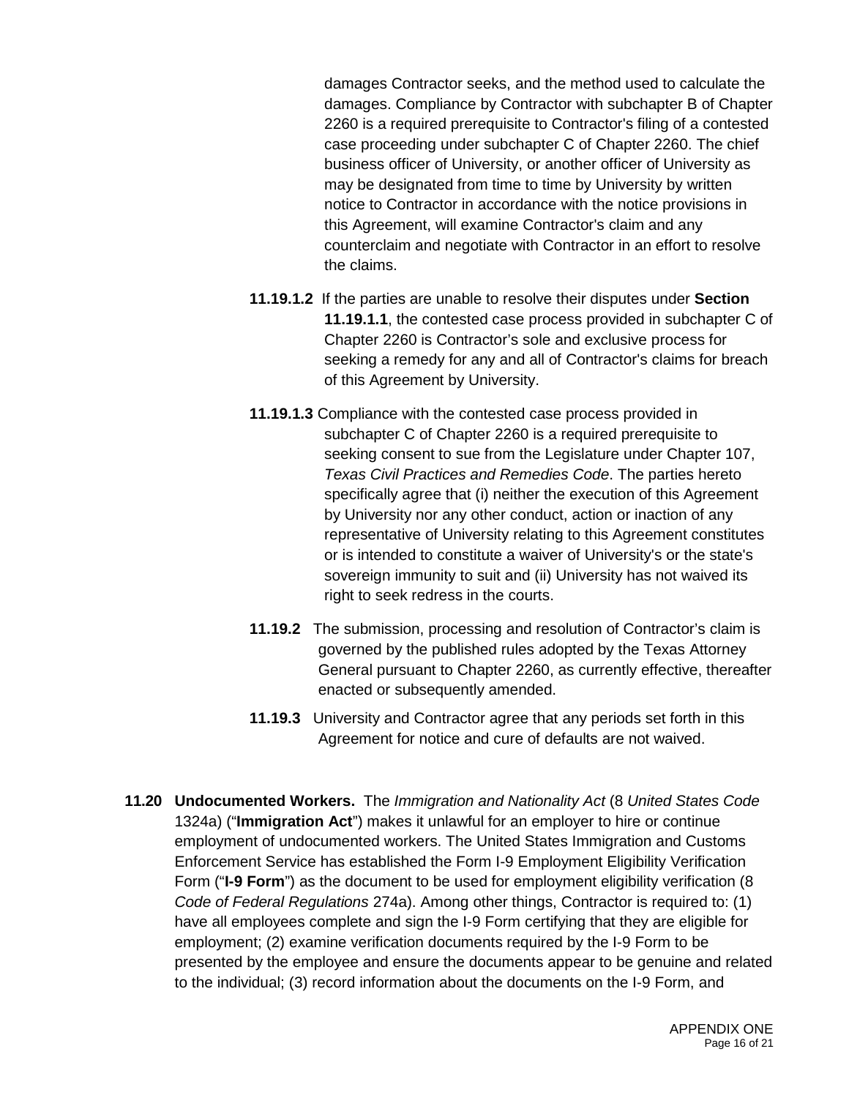damages Contractor seeks, and the method used to calculate the damages. Compliance by Contractor with subchapter B of Chapter 2260 is a required prerequisite to Contractor's filing of a contested case proceeding under subchapter C of Chapter 2260. The chief business officer of University, or another officer of University as may be designated from time to time by University by written notice to Contractor in accordance with the notice provisions in this Agreement, will examine Contractor's claim and any counterclaim and negotiate with Contractor in an effort to resolve the claims.

- **11.19.1.2** If the parties are unable to resolve their disputes under **Section 11.19.1.1**, the contested case process provided in subchapter C of Chapter 2260 is Contractor's sole and exclusive process for seeking a remedy for any and all of Contractor's claims for breach of this Agreement by University.
- **11.19.1.3** Compliance with the contested case process provided in subchapter C of Chapter 2260 is a required prerequisite to seeking consent to sue from the Legislature under Chapter 107, *Texas Civil Practices and Remedies Code*. The parties hereto specifically agree that (i) neither the execution of this Agreement by University nor any other conduct, action or inaction of any representative of University relating to this Agreement constitutes or is intended to constitute a waiver of University's or the state's sovereign immunity to suit and (ii) University has not waived its right to seek redress in the courts.
- **11.19.2** The submission, processing and resolution of Contractor's claim is governed by the published rules adopted by the Texas Attorney General pursuant to Chapter 2260, as currently effective, thereafter enacted or subsequently amended.
- **11.19.3** University and Contractor agree that any periods set forth in this Agreement for notice and cure of defaults are not waived.
- **11.20 Undocumented Workers.** The *Immigration and Nationality Act* (8 *United States Code*  1324a) ("**Immigration Act**") makes it unlawful for an employer to hire or continue employment of undocumented workers. The United States Immigration and Customs Enforcement Service has established the Form I-9 Employment Eligibility Verification Form ("**I-9 Form**") as the document to be used for employment eligibility verification (8 *Code of Federal Regulations* 274a). Among other things, Contractor is required to: (1) have all employees complete and sign the I-9 Form certifying that they are eligible for employment; (2) examine verification documents required by the I-9 Form to be presented by the employee and ensure the documents appear to be genuine and related to the individual; (3) record information about the documents on the I-9 Form, and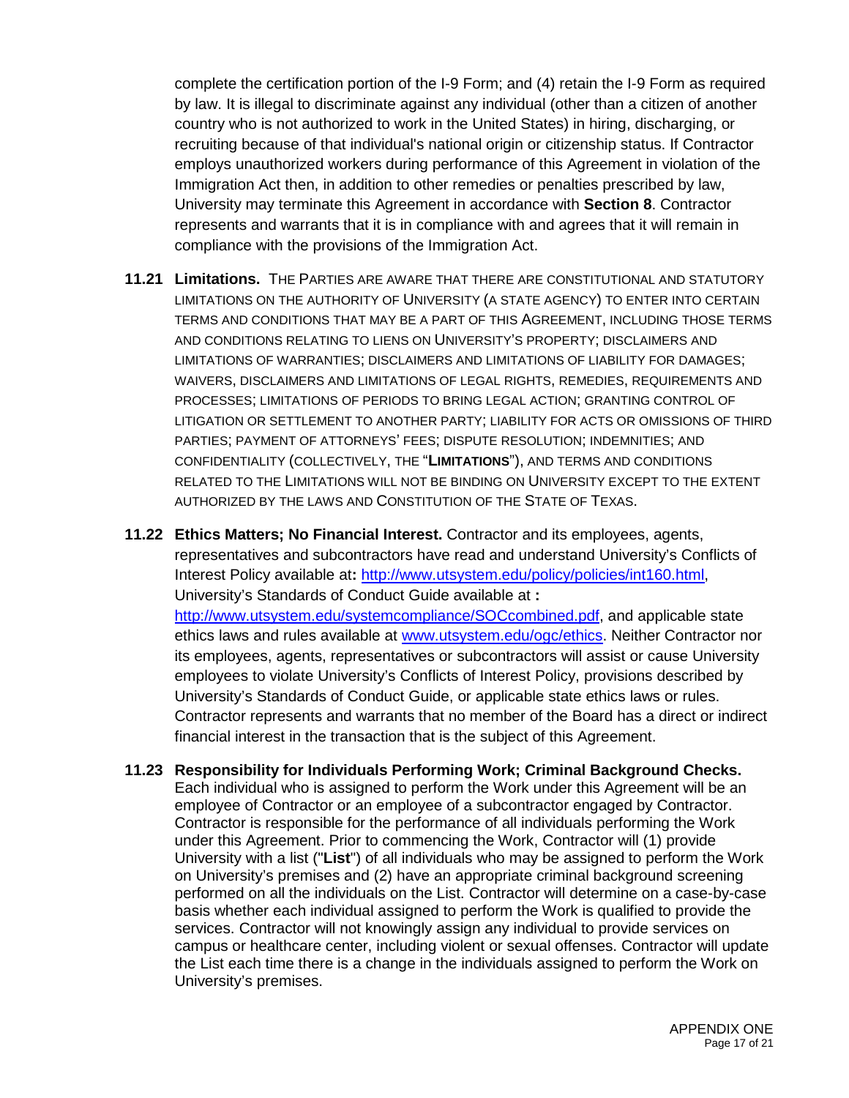complete the certification portion of the I-9 Form; and (4) retain the I-9 Form as required by law. It is illegal to discriminate against any individual (other than a citizen of another country who is not authorized to work in the United States) in hiring, discharging, or recruiting because of that individual's national origin or citizenship status. If Contractor employs unauthorized workers during performance of this Agreement in violation of the Immigration Act then, in addition to other remedies or penalties prescribed by law, University may terminate this Agreement in accordance with **Section 8**. Contractor represents and warrants that it is in compliance with and agrees that it will remain in compliance with the provisions of the Immigration Act.

**11.21 Limitations.** THE PARTIES ARE AWARE THAT THERE ARE CONSTITUTIONAL AND STATUTORY LIMITATIONS ON THE AUTHORITY OF UNIVERSITY (A STATE AGENCY) TO ENTER INTO CERTAIN TERMS AND CONDITIONS THAT MAY BE A PART OF THIS AGREEMENT, INCLUDING THOSE TERMS AND CONDITIONS RELATING TO LIENS ON UNIVERSITY'S PROPERTY; DISCLAIMERS AND LIMITATIONS OF WARRANTIES; DISCLAIMERS AND LIMITATIONS OF LIABILITY FOR DAMAGES; WAIVERS, DISCLAIMERS AND LIMITATIONS OF LEGAL RIGHTS, REMEDIES, REQUIREMENTS AND PROCESSES; LIMITATIONS OF PERIODS TO BRING LEGAL ACTION; GRANTING CONTROL OF LITIGATION OR SETTLEMENT TO ANOTHER PARTY; LIABILITY FOR ACTS OR OMISSIONS OF THIRD PARTIES; PAYMENT OF ATTORNEYS' FEES; DISPUTE RESOLUTION; INDEMNITIES; AND CONFIDENTIALITY (COLLECTIVELY, THE "**LIMITATIONS**"), AND TERMS AND CONDITIONS RELATED TO THE LIMITATIONS WILL NOT BE BINDING ON UNIVERSITY EXCEPT TO THE EXTENT AUTHORIZED BY THE LAWS AND CONSTITUTION OF THE STATE OF TEXAS.

**11.22 Ethics Matters; No Financial Interest.** Contractor and its employees, agents, representatives and subcontractors have read and understand University's Conflicts of Interest Policy available at**:** <http://www.utsystem.edu/policy/policies/int160.html>, University's Standards of Conduct Guide available at **:** 

[http://www.utsystem.edu/systemcompliance/SOCcombined.pdf,](http://www.utsystem.edu/systemcompliance/SOCcombined.pdf) and applicable state ethics laws and rules available at [www.utsystem.edu/ogc/ethics.](http://www.utsystem.edu/ogc/ethics) Neither Contractor nor its employees, agents, representatives or subcontractors will assist or cause University employees to violate University's Conflicts of Interest Policy, provisions described by University's Standards of Conduct Guide, or applicable state ethics laws or rules. Contractor represents and warrants that no member of the Board has a direct or indirect financial interest in the transaction that is the subject of this Agreement.

**11.23 Responsibility for Individuals Performing Work; Criminal Background Checks.** Each individual who is assigned to perform the Work under this Agreement will be an employee of Contractor or an employee of a subcontractor engaged by Contractor. Contractor is responsible for the performance of all individuals performing the Work under this Agreement. Prior to commencing the Work, Contractor will (1) provide University with a list ("**List**") of all individuals who may be assigned to perform the Work on University's premises and (2) have an appropriate criminal background screening performed on all the individuals on the List. Contractor will determine on a case-by-case basis whether each individual assigned to perform the Work is qualified to provide the services. Contractor will not knowingly assign any individual to provide services on campus or healthcare center, including violent or sexual offenses. Contractor will update the List each time there is a change in the individuals assigned to perform the Work on University's premises.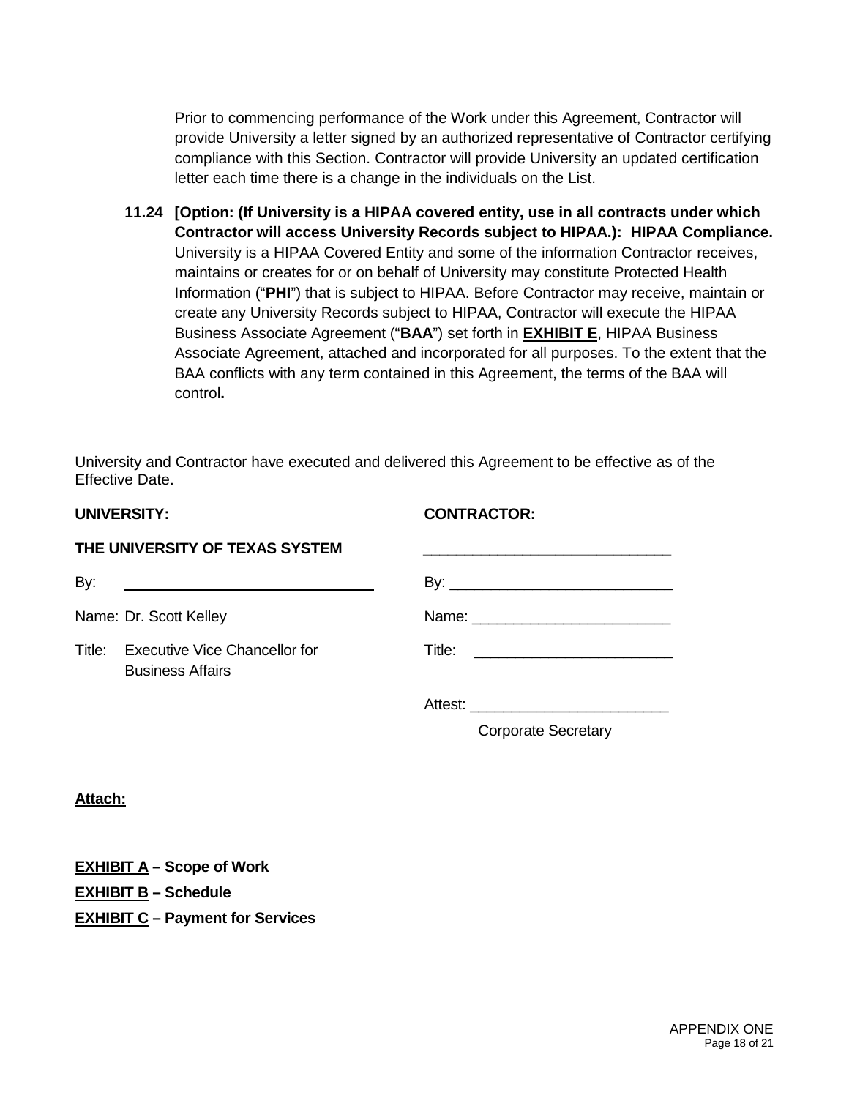Prior to commencing performance of the Work under this Agreement, Contractor will provide University a letter signed by an authorized representative of Contractor certifying compliance with this Section. Contractor will provide University an updated certification letter each time there is a change in the individuals on the List.

**11.24 [Option: (If University is a HIPAA covered entity, use in all contracts under which Contractor will access University Records subject to HIPAA.): HIPAA Compliance.** University is a HIPAA Covered Entity and some of the information Contractor receives, maintains or creates for or on behalf of University may constitute Protected Health Information ("**PHI**") that is subject to HIPAA. Before Contractor may receive, maintain or create any University Records subject to HIPAA, Contractor will execute the HIPAA Business Associate Agreement ("**BAA**") set forth in **EXHIBIT E**, HIPAA Business Associate Agreement, attached and incorporated for all purposes. To the extent that the BAA conflicts with any term contained in this Agreement, the terms of the BAA will control**.**

University and Contractor have executed and delivered this Agreement to be effective as of the Effective Date.

| <b>UNIVERSITY:</b> |  |  |  |  |  |  |  |
|--------------------|--|--|--|--|--|--|--|
|--------------------|--|--|--|--|--|--|--|

### **UNIVERSITY: CONTRACTOR:**

| By: | <u> 1989 - Jan James Barnett, fransk politiker (d. 1989)</u>    |                            |
|-----|-----------------------------------------------------------------|----------------------------|
|     | Name: Dr. Scott Kelley                                          |                            |
|     | Title: Executive Vice Chancellor for<br><b>Business Affairs</b> |                            |
|     |                                                                 |                            |
|     |                                                                 | <b>Corporate Secretary</b> |

**Attach:**

**EXHIBIT A – Scope of Work EXHIBIT B – Schedule EXHIBIT C – Payment for Services** 

THE UNIVERSITY OF TEYAS SYSTEM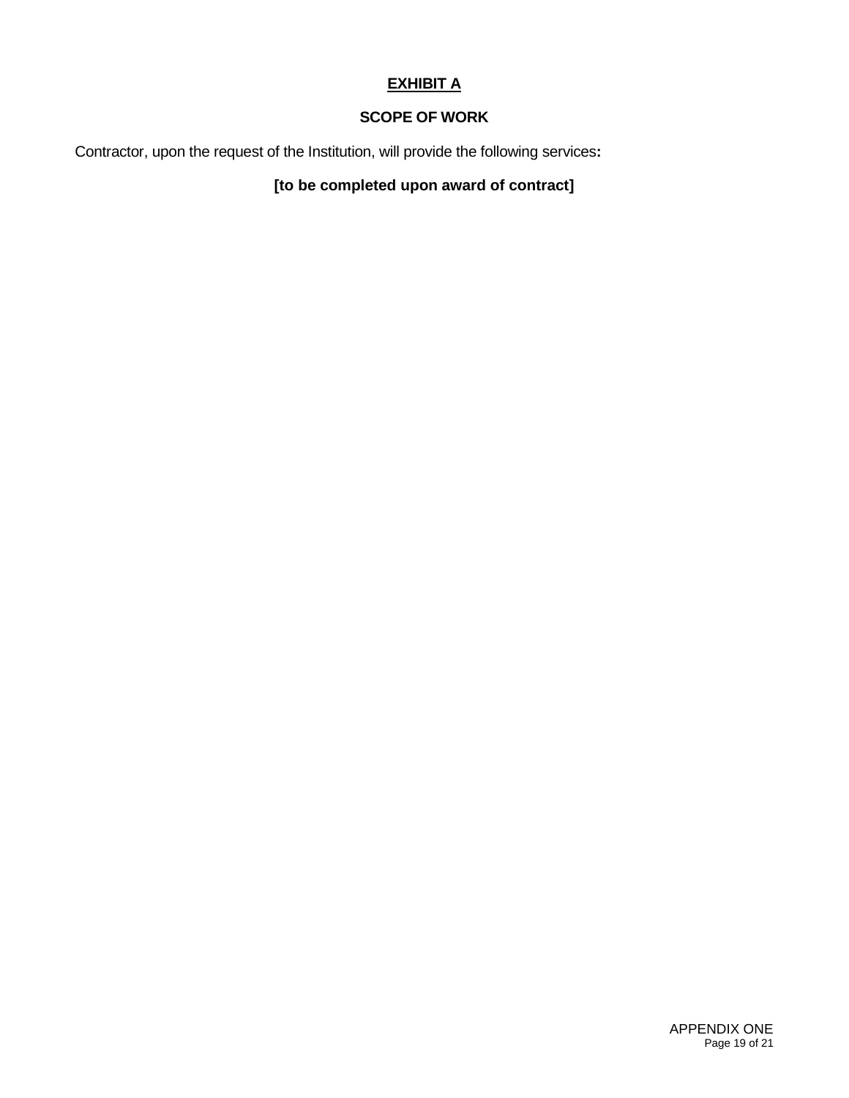## **EXHIBIT A**

## **SCOPE OF WORK**

Contractor, upon the request of the Institution, will provide the following services**:** 

## **[to be completed upon award of contract]**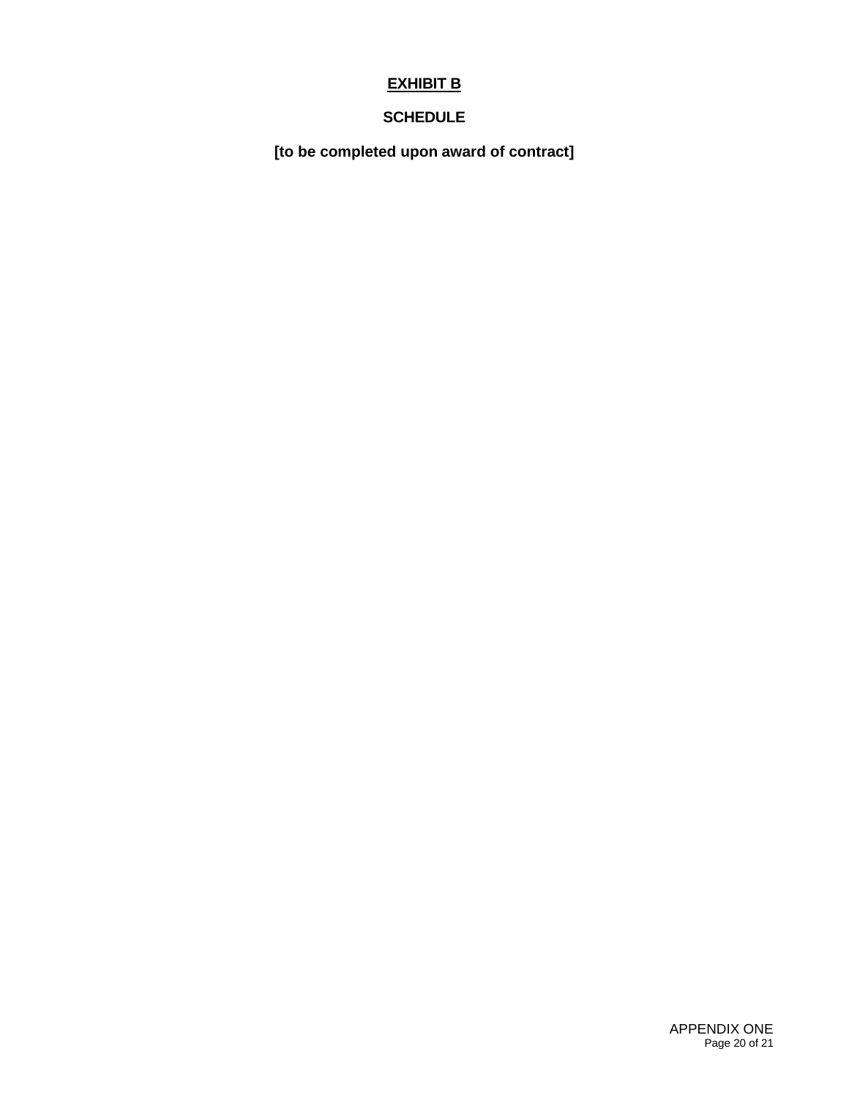## **EXHIBIT B**

## **SCHEDULE**

**[to be completed upon award of contract]**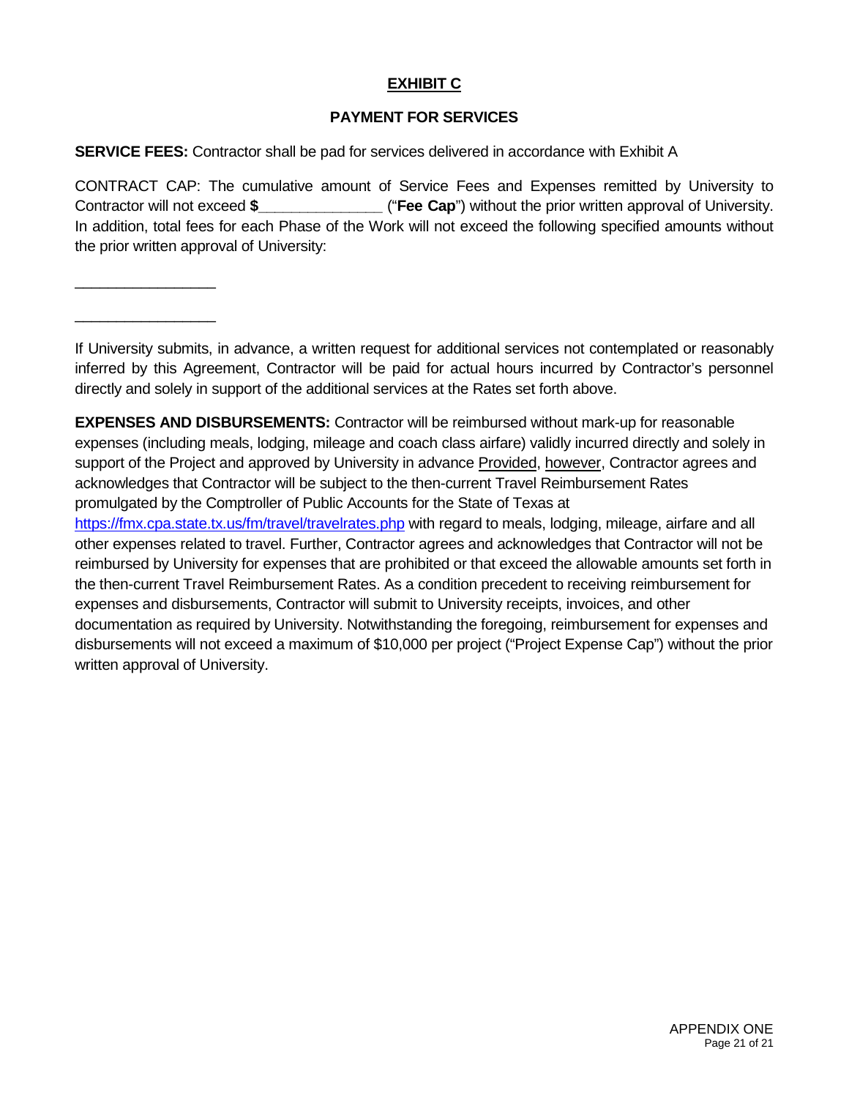## **EXHIBIT C**

## **PAYMENT FOR SERVICES**

**SERVICE FEES:** Contractor shall be pad for services delivered in accordance with Exhibit A

\_\_\_\_\_\_\_\_\_\_\_\_\_\_\_\_\_

\_\_\_\_\_\_\_\_\_\_\_\_\_\_\_\_\_

CONTRACT CAP: The cumulative amount of Service Fees and Expenses remitted by University to Contractor will not exceed **\$\_\_\_\_\_\_\_\_\_\_\_\_\_\_\_** ("**Fee Cap**") without the prior written approval of University. In addition, total fees for each Phase of the Work will not exceed the following specified amounts without the prior written approval of University:

If University submits, in advance, a written request for additional services not contemplated or reasonably inferred by this Agreement, Contractor will be paid for actual hours incurred by Contractor's personnel directly and solely in support of the additional services at the Rates set forth above.

**EXPENSES AND DISBURSEMENTS:** Contractor will be reimbursed without mark-up for reasonable expenses (including meals, lodging, mileage and coach class airfare) validly incurred directly and solely in support of the Project and approved by University in advance Provided, however, Contractor agrees and acknowledges that Contractor will be subject to the then-current Travel Reimbursement Rates promulgated by the Comptroller of Public Accounts for the State of Texas at <https://fmx.cpa.state.tx.us/fm/travel/travelrates.php> with regard to meals, lodging, mileage, airfare and all other expenses related to travel. Further, Contractor agrees and acknowledges that Contractor will not be reimbursed by University for expenses that are prohibited or that exceed the allowable amounts set forth in the then-current Travel Reimbursement Rates. As a condition precedent to receiving reimbursement for expenses and disbursements, Contractor will submit to University receipts, invoices, and other documentation as required by University. Notwithstanding the foregoing, reimbursement for expenses and disbursements will not exceed a maximum of \$10,000 per project ("Project Expense Cap") without the prior written approval of University.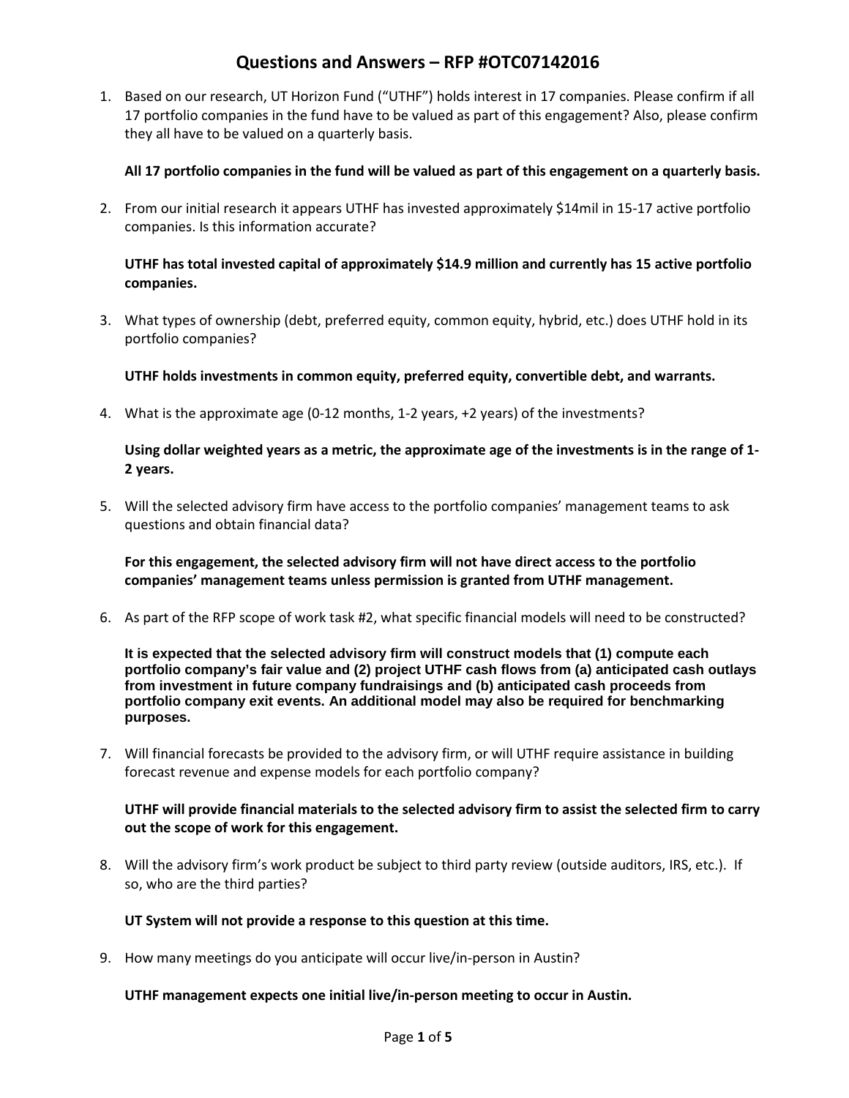1. Based on our research, UT Horizon Fund ("UTHF") holds interest in 17 companies. Please confirm if all 17 portfolio companies in the fund have to be valued as part of this engagement? Also, please confirm they all have to be valued on a quarterly basis.

### **All 17 portfolio companies in the fund will be valued as part of this engagement on a quarterly basis.**

2. From our initial research it appears UTHF has invested approximately \$14mil in 15-17 active portfolio companies. Is this information accurate?

### **UTHF has total invested capital of approximately \$14.9 million and currently has 15 active portfolio companies.**

3. What types of ownership (debt, preferred equity, common equity, hybrid, etc.) does UTHF hold in its portfolio companies?

**UTHF holds investments in common equity, preferred equity, convertible debt, and warrants.**

4. What is the approximate age (0-12 months, 1-2 years, +2 years) of the investments?

### **Using dollar weighted years as a metric, the approximate age of the investments is in the range of 1- 2 years.**

5. Will the selected advisory firm have access to the portfolio companies' management teams to ask questions and obtain financial data?

**For this engagement, the selected advisory firm will not have direct access to the portfolio companies' management teams unless permission is granted from UTHF management.**

6. As part of the RFP scope of work task #2, what specific financial models will need to be constructed?

**It is expected that the selected advisory firm will construct models that (1) compute each portfolio company's fair value and (2) project UTHF cash flows from (a) anticipated cash outlays from investment in future company fundraisings and (b) anticipated cash proceeds from portfolio company exit events. An additional model may also be required for benchmarking purposes.**

7. Will financial forecasts be provided to the advisory firm, or will UTHF require assistance in building forecast revenue and expense models for each portfolio company?

### **UTHF will provide financial materials to the selected advisory firm to assist the selected firm to carry out the scope of work for this engagement.**

8. Will the advisory firm's work product be subject to third party review (outside auditors, IRS, etc.). If so, who are the third parties?

### **UT System will not provide a response to this question at this time.**

9. How many meetings do you anticipate will occur live/in-person in Austin?

### **UTHF management expects one initial live/in-person meeting to occur in Austin.**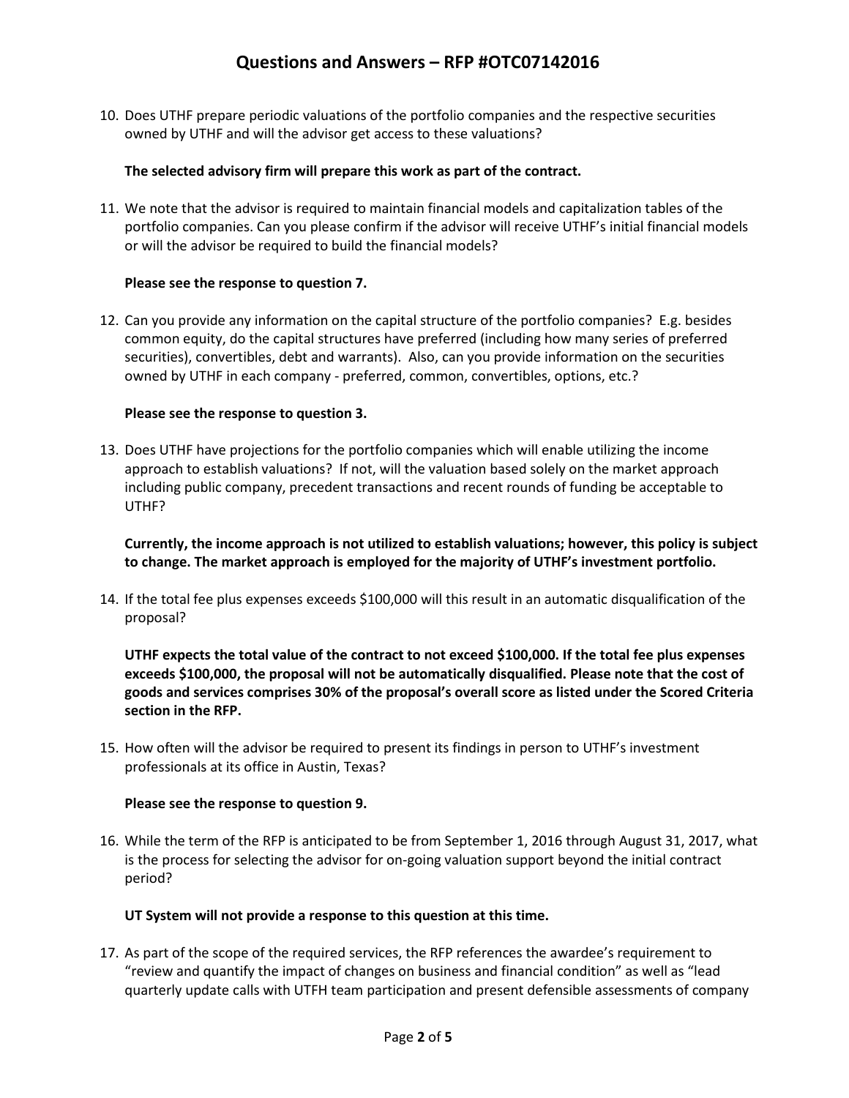10. Does UTHF prepare periodic valuations of the portfolio companies and the respective securities owned by UTHF and will the advisor get access to these valuations?

### **The selected advisory firm will prepare this work as part of the contract.**

11. We note that the advisor is required to maintain financial models and capitalization tables of the portfolio companies. Can you please confirm if the advisor will receive UTHF's initial financial models or will the advisor be required to build the financial models?

### **Please see the response to question 7.**

12. Can you provide any information on the capital structure of the portfolio companies? E.g. besides common equity, do the capital structures have preferred (including how many series of preferred securities), convertibles, debt and warrants). Also, can you provide information on the securities owned by UTHF in each company - preferred, common, convertibles, options, etc.?

### **Please see the response to question 3.**

13. Does UTHF have projections for the portfolio companies which will enable utilizing the income approach to establish valuations? If not, will the valuation based solely on the market approach including public company, precedent transactions and recent rounds of funding be acceptable to UTHF?

**Currently, the income approach is not utilized to establish valuations; however, this policy is subject to change. The market approach is employed for the majority of UTHF's investment portfolio.**

14. If the total fee plus expenses exceeds \$100,000 will this result in an automatic disqualification of the proposal?

**UTHF expects the total value of the contract to not exceed \$100,000. If the total fee plus expenses exceeds \$100,000, the proposal will not be automatically disqualified. Please note that the cost of goods and services comprises 30% of the proposal's overall score as listed under the Scored Criteria section in the RFP.**

15. How often will the advisor be required to present its findings in person to UTHF's investment professionals at its office in Austin, Texas?

### **Please see the response to question 9.**

16. While the term of the RFP is anticipated to be from September 1, 2016 through August 31, 2017, what is the process for selecting the advisor for on-going valuation support beyond the initial contract period?

### **UT System will not provide a response to this question at this time.**

17. As part of the scope of the required services, the RFP references the awardee's requirement to "review and quantify the impact of changes on business and financial condition" as well as "lead quarterly update calls with UTFH team participation and present defensible assessments of company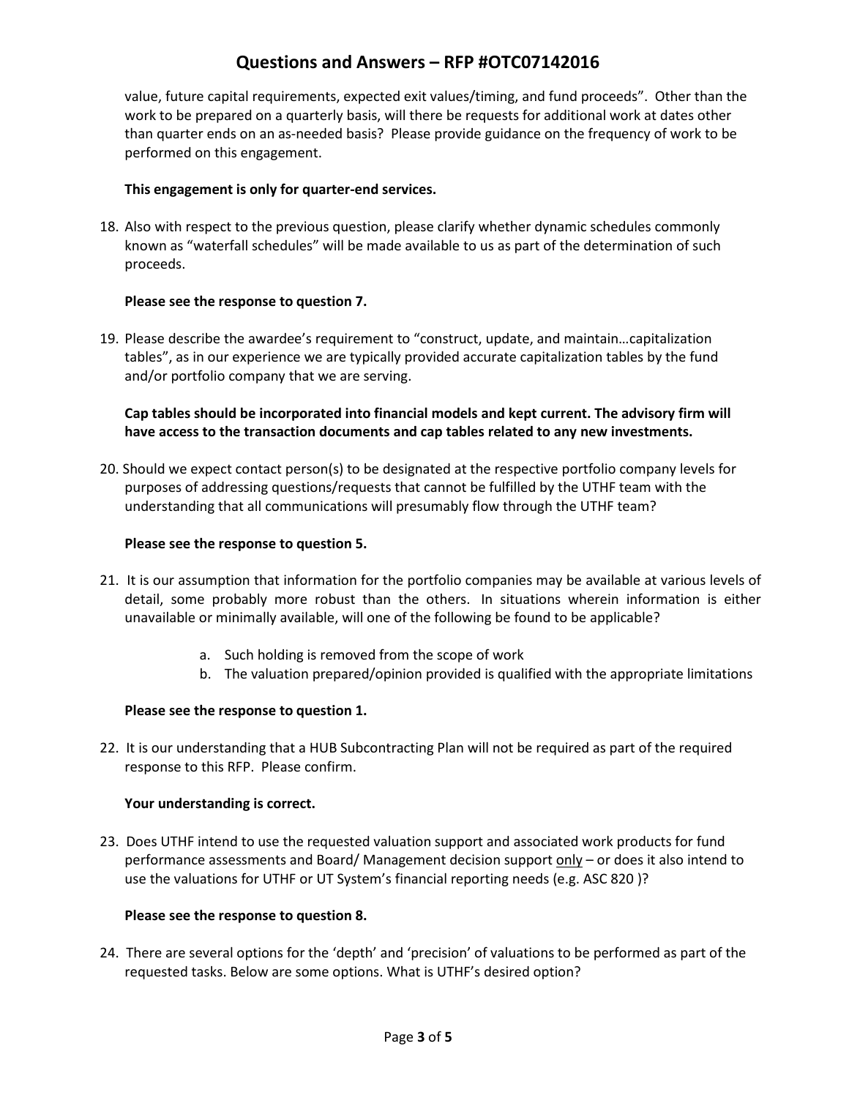value, future capital requirements, expected exit values/timing, and fund proceeds". Other than the work to be prepared on a quarterly basis, will there be requests for additional work at dates other than quarter ends on an as-needed basis? Please provide guidance on the frequency of work to be performed on this engagement.

### **This engagement is only for quarter-end services.**

18. Also with respect to the previous question, please clarify whether dynamic schedules commonly known as "waterfall schedules" will be made available to us as part of the determination of such proceeds.

### **Please see the response to question 7.**

19. Please describe the awardee's requirement to "construct, update, and maintain…capitalization tables", as in our experience we are typically provided accurate capitalization tables by the fund and/or portfolio company that we are serving.

### **Cap tables should be incorporated into financial models and kept current. The advisory firm will have access to the transaction documents and cap tables related to any new investments.**

20. Should we expect contact person(s) to be designated at the respective portfolio company levels for purposes of addressing questions/requests that cannot be fulfilled by the UTHF team with the understanding that all communications will presumably flow through the UTHF team?

### **Please see the response to question 5.**

- 21. It is our assumption that information for the portfolio companies may be available at various levels of detail, some probably more robust than the others. In situations wherein information is either unavailable or minimally available, will one of the following be found to be applicable?
	- a. Such holding is removed from the scope of work
	- b. The valuation prepared/opinion provided is qualified with the appropriate limitations

### **Please see the response to question 1.**

22. It is our understanding that a HUB Subcontracting Plan will not be required as part of the required response to this RFP. Please confirm.

### **Your understanding is correct.**

23. Does UTHF intend to use the requested valuation support and associated work products for fund performance assessments and Board/ Management decision support only - or does it also intend to use the valuations for UTHF or UT System's financial reporting needs (e.g. ASC 820 )?

### **Please see the response to question 8.**

24. There are several options for the 'depth' and 'precision' of valuations to be performed as part of the requested tasks. Below are some options. What is UTHF's desired option?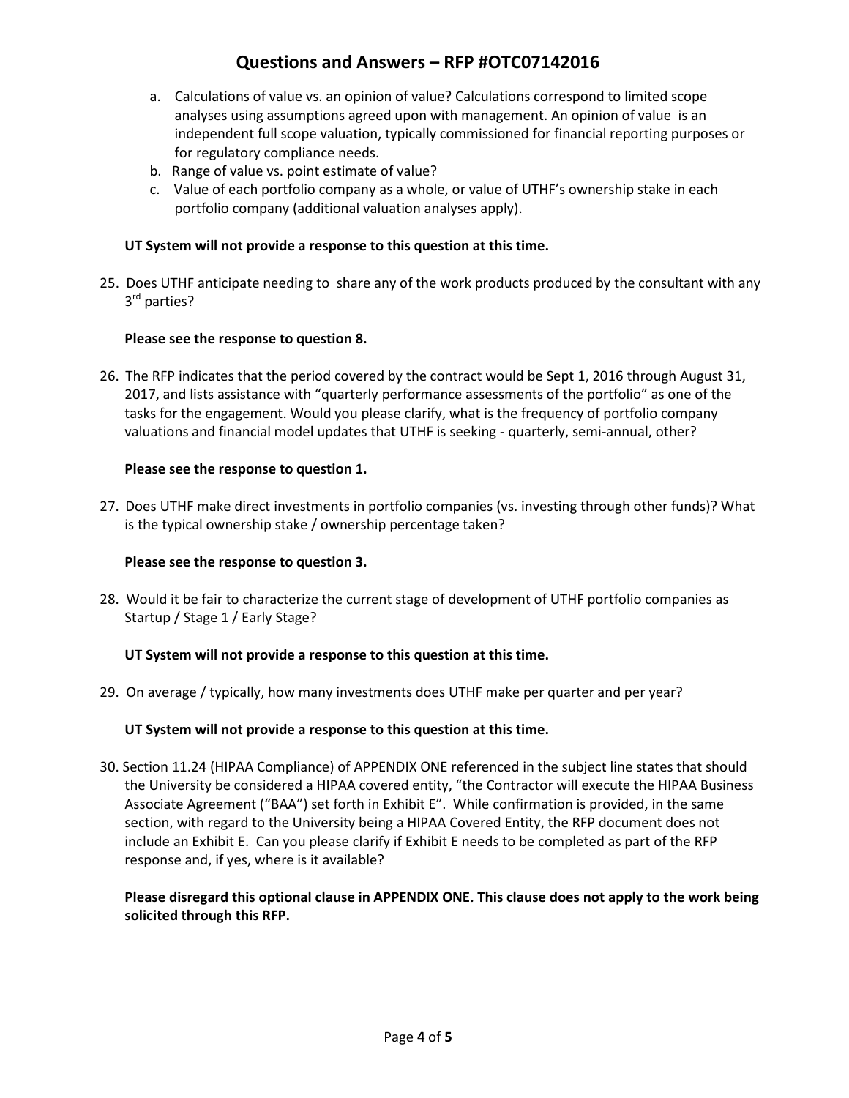- a. Calculations of value vs. an opinion of value? Calculations correspond to limited scope analyses using assumptions agreed upon with management. An opinion of value is an independent full scope valuation, typically commissioned for financial reporting purposes or for regulatory compliance needs.
- b. Range of value vs. point estimate of value?
- c. Value of each portfolio company as a whole, or value of UTHF's ownership stake in each portfolio company (additional valuation analyses apply).

### **UT System will not provide a response to this question at this time.**

25. Does UTHF anticipate needing to share any of the work products produced by the consultant with any 3<sup>rd</sup> parties?

### **Please see the response to question 8.**

26. The RFP indicates that the period covered by the contract would be Sept 1, 2016 through August 31, 2017, and lists assistance with "quarterly performance assessments of the portfolio" as one of the tasks for the engagement. Would you please clarify, what is the frequency of portfolio company valuations and financial model updates that UTHF is seeking - quarterly, semi-annual, other?

### **Please see the response to question 1.**

27. Does UTHF make direct investments in portfolio companies (vs. investing through other funds)? What is the typical ownership stake / ownership percentage taken?

### **Please see the response to question 3.**

28. Would it be fair to characterize the current stage of development of UTHF portfolio companies as Startup / Stage 1 / Early Stage?

### **UT System will not provide a response to this question at this time.**

29. On average / typically, how many investments does UTHF make per quarter and per year?

### **UT System will not provide a response to this question at this time.**

30. Section 11.24 (HIPAA Compliance) of APPENDIX ONE referenced in the subject line states that should the University be considered a HIPAA covered entity, "the Contractor will execute the HIPAA Business Associate Agreement ("BAA") set forth in Exhibit E". While confirmation is provided, in the same section, with regard to the University being a HIPAA Covered Entity, the RFP document does not include an Exhibit E. Can you please clarify if Exhibit E needs to be completed as part of the RFP response and, if yes, where is it available?

**Please disregard this optional clause in APPENDIX ONE. This clause does not apply to the work being solicited through this RFP.**